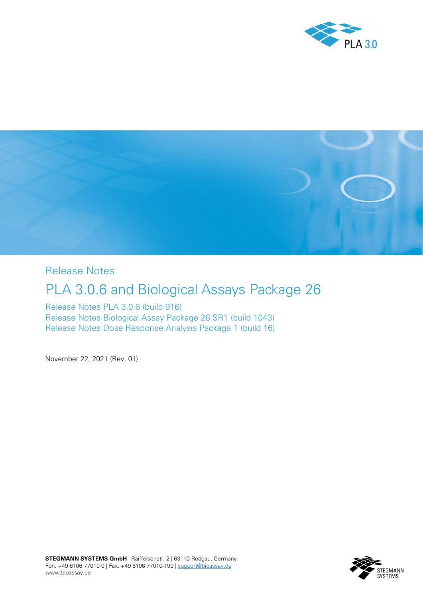



Release Notes

# PLA 3.0.6 and Biological Assays Package 26

Release Notes PLA 3.0.6 (build 916) Release Notes Biological Assay Package 26 SR1 (build 1043) Release Notes Dose Response Analysis Package 1 (build 16)

November 22, 2021 (Rev. 01)

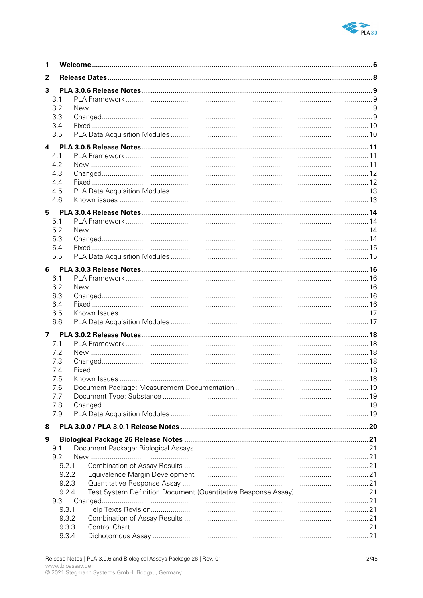

| 1 |              |  |
|---|--------------|--|
| 2 |              |  |
| 3 |              |  |
|   | 3.1          |  |
|   | 3.2          |  |
|   | 3.3          |  |
|   | 3.4          |  |
|   | 3.5          |  |
| 4 |              |  |
|   | 4.1          |  |
|   | 4.2          |  |
|   | 4.3          |  |
|   | 4.4          |  |
|   | 4.5          |  |
|   | 4.6          |  |
| 5 |              |  |
|   | 5.1          |  |
|   | 5.2          |  |
|   | 5.3          |  |
|   | 5.4          |  |
|   | 5.5          |  |
|   |              |  |
|   | 6.1          |  |
|   | 6.2          |  |
|   | 6.3          |  |
|   | 6.4          |  |
|   | 6.5          |  |
|   | 6.6          |  |
|   | $\mathbf{z}$ |  |
|   | 7.1          |  |
|   | 7.2          |  |
|   | 7.3          |  |
|   | 7.4          |  |
|   | 7.5          |  |
|   | 7.6          |  |
|   | 7.7          |  |
|   | 7.8          |  |
|   | 7.9          |  |
| 8 |              |  |
| 9 |              |  |
|   | 9.1          |  |
|   | 9.2          |  |
|   | 9.2.1        |  |
|   | 9.2.2        |  |
|   | 9.2.3        |  |
|   | 9.2.4        |  |
|   | 9.3          |  |
|   | 9.3.1        |  |
|   | 9.3.2        |  |
|   | 9.3.3        |  |
|   | 9.3.4        |  |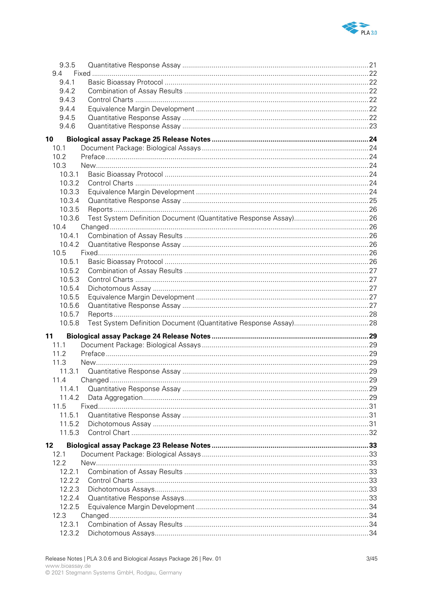

| 9.3.5  |  |
|--------|--|
| 9.4    |  |
| 9.4.1  |  |
| 9.4.2  |  |
| 9.4.3  |  |
| 9.4.4  |  |
| 9.4.5  |  |
| 9.4.6  |  |
| 10     |  |
| 10.1   |  |
| 10.2   |  |
| 10.3   |  |
| 10.3.1 |  |
| 10.3.2 |  |
| 10.3.3 |  |
| 10.3.4 |  |
| 10.3.5 |  |
| 10.3.6 |  |
| 10.4   |  |
| 10.4.1 |  |
| 10.4.2 |  |
| 10.5   |  |
| 10.5.1 |  |
| 10.5.2 |  |
| 10.5.3 |  |
| 10.5.4 |  |
| 10.5.5 |  |
| 10.5.6 |  |
| 10.5.7 |  |
| 10.5.8 |  |
| 11     |  |
| 11.1   |  |
| 11.2   |  |
| 11.3   |  |
|        |  |
| 11.4   |  |
| 11.4.1 |  |
| 11.4.2 |  |
| 11.5   |  |
| 11.5.1 |  |
| 11.5.2 |  |
| 11.5.3 |  |
| 12     |  |
| 12.1   |  |
| 12.2   |  |
| 12.2.1 |  |
| 12.2.2 |  |
| 12.2.3 |  |
| 12.2.4 |  |
| 12.2.5 |  |
| 12.3   |  |
| 12.3.1 |  |
| 12.3.2 |  |
|        |  |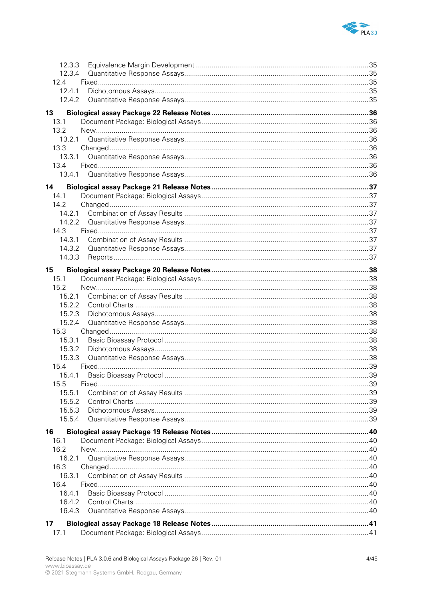

| 12.3.3         |  |
|----------------|--|
| 12.3.4         |  |
| 12.4           |  |
| 12.4.1         |  |
| 12.4.2         |  |
|                |  |
| 13             |  |
| 13.1           |  |
| 13.2           |  |
| 13.2.1         |  |
| 13.3           |  |
| 13.3.1         |  |
| 13.4           |  |
| 13.4.1         |  |
| 14             |  |
| 14.1           |  |
| 14.2           |  |
| 14.2.1         |  |
| 14.2.2         |  |
| 14.3           |  |
| 14.3.1         |  |
| 14.3.2         |  |
| 14.3.3         |  |
|                |  |
| 15             |  |
| 15.1           |  |
| 15.2<br>15.2.1 |  |
|                |  |
| 15.2.2         |  |
| 15.2.3         |  |
| 15.2.4         |  |
| 15.3           |  |
| 15.3.1         |  |
| 15.3.2         |  |
| 15.3.3         |  |
| 15.4           |  |
| 15.4.1         |  |
| 15.5           |  |
| 15.5.1         |  |
| 15.5.2         |  |
| 15.5.3         |  |
| 15.5.4         |  |
| 16             |  |
| 16.1           |  |
| 16.2           |  |
| 16.2.1         |  |
| 16.3           |  |
| 16.3.1         |  |
| 16.4           |  |
| 16.4.1         |  |
| 16.4.2         |  |
| 16.4.3         |  |
|                |  |
| 17             |  |
| 17.1           |  |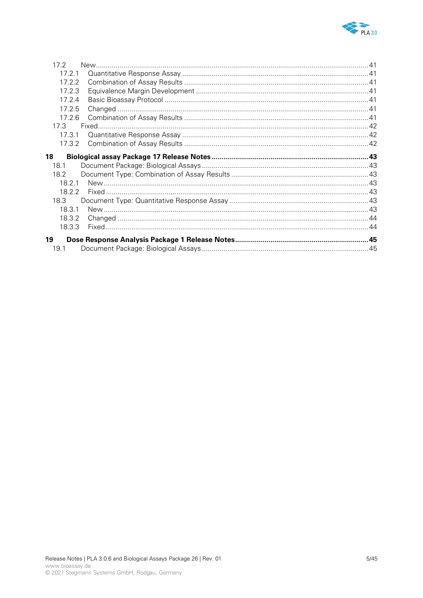

| $17.2^{\circ}$ |  |
|----------------|--|
| 17.2.1         |  |
| 17.2.2         |  |
| 17.2.3         |  |
| 17.2.4         |  |
| 17.2.5         |  |
| 17.2.6         |  |
| 17.3           |  |
| 17.3.1         |  |
| 17.3.2         |  |
| 18             |  |
|                |  |
| 18.1           |  |
| 18.2           |  |
| 18 2 1         |  |
| 18.2.2         |  |
| 18.3           |  |
| 18.3.1         |  |
| 18.3.2         |  |
| 18.3.3         |  |
|                |  |
| 19<br>19.1     |  |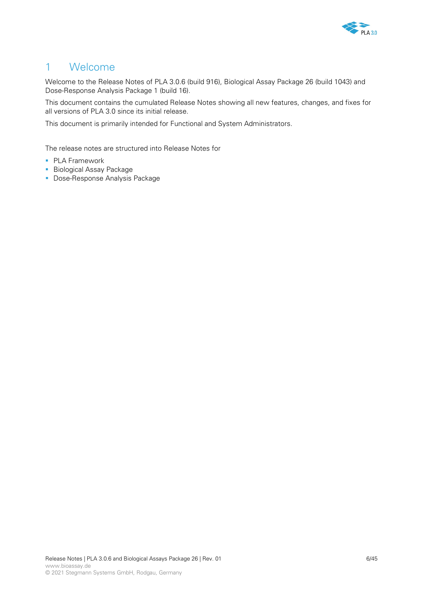

# 1 Welcome

Welcome to the Release Notes of PLA 3.0.6 (build 916), Biological Assay Package 26 (build 1043) and Dose-Response Analysis Package 1 (build 16).

This document contains the cumulated Release Notes showing all new features, changes, and fixes for all versions of PLA 3.0 since its initial release.

This document is primarily intended for Functional and System Administrators.

The release notes are structured into Release Notes for

- PLA Framework
- **Biological Assay Package**
- **Dose-Response Analysis Package**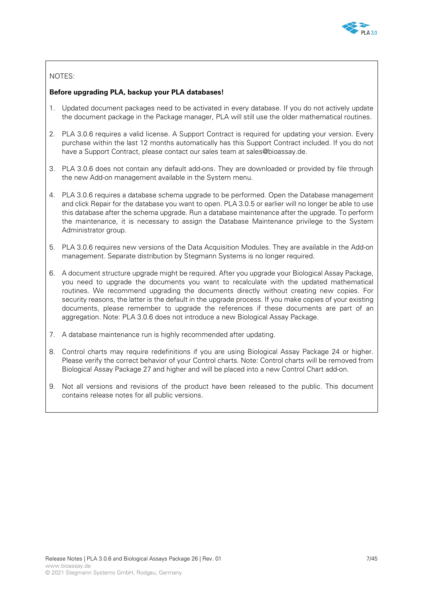

## NOTES:

### **Before upgrading PLA, backup your PLA databases!**

- 1. Updated document packages need to be activated in every database. If you do not actively update the document package in the Package manager, PLA will still use the older mathematical routines.
- 2. PLA 3.0.6 requires a valid license. A Support Contract is required for updating your version. Every purchase within the last 12 months automatically has this Support Contract included. If you do not have a Support Contract, please contact our sales team at [sales@bioassay.de.](mailto:sales@bioassay.de)
- 3. PLA 3.0.6 does not contain any default add-ons. They are downloaded or provided by file through the new Add-on management available in the System menu.
- 4. PLA 3.0.6 requires a database schema upgrade to be performed. Open the Database management and click Repair for the database you want to open. PLA 3.0.5 or earlier will no longer be able to use this database after the schema upgrade. Run a database maintenance after the upgrade. To perform the maintenance, it is necessary to assign the Database Maintenance privilege to the System Administrator group.
- 5. PLA 3.0.6 requires new versions of the Data Acquisition Modules. They are available in the Add-on management. Separate distribution by Stegmann Systems is no longer required.
- 6. A document structure upgrade might be required. After you upgrade your Biological Assay Package, you need to upgrade the documents you want to recalculate with the updated mathematical routines. We recommend upgrading the documents directly without creating new copies. For security reasons, the latter is the default in the upgrade process. If you make copies of your existing documents, please remember to upgrade the references if these documents are part of an aggregation. Note: PLA 3.0.6 does not introduce a new Biological Assay Package.
- 7. A database maintenance run is highly recommended after updating.
- 8. Control charts may require redefinitions if you are using Biological Assay Package 24 or higher. Please verify the correct behavior of your Control charts. Note: Control charts will be removed from Biological Assay Package 27 and higher and will be placed into a new Control Chart add-on.
- 9. Not all versions and revisions of the product have been released to the public. This document contains release notes for all public versions.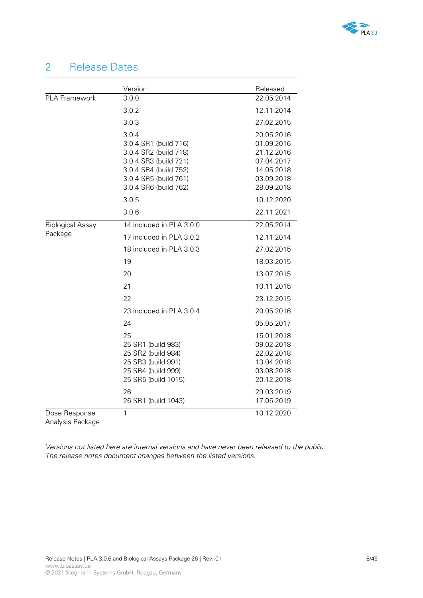

# 2 Release Dates

|                                   | Version                                                                                                                                                     | Released                                                                                       |
|-----------------------------------|-------------------------------------------------------------------------------------------------------------------------------------------------------------|------------------------------------------------------------------------------------------------|
| PLA Framework                     | 3.0.0                                                                                                                                                       | 22.05.2014                                                                                     |
|                                   | 3.0.2                                                                                                                                                       | 12.11.2014                                                                                     |
|                                   | 3.0.3                                                                                                                                                       | 27.02.2015                                                                                     |
|                                   | 3.0.4<br>3.0.4 SR1 (build 716)<br>3.0.4 SR2 (build 718)<br>3.0.4 SR3 (build 721)<br>3.0.4 SR4 (build 752)<br>3.0.4 SR5 (build 761)<br>3.0.4 SR6 (build 762) | 20.05.2016<br>01.09.2016<br>21.12.2016<br>07.04.2017<br>14.05.2018<br>03.09.2018<br>28.09.2018 |
|                                   | 3.0.5                                                                                                                                                       | 10.12.2020                                                                                     |
|                                   | 3.0.6                                                                                                                                                       | 22.11.2021                                                                                     |
| <b>Biological Assay</b>           | 14 included in PLA 3.0.0                                                                                                                                    | 22.05.2014                                                                                     |
| Package                           | 17 included in PLA 3.0.2                                                                                                                                    | 12.11.2014                                                                                     |
|                                   | 18 included in PLA 3.0.3                                                                                                                                    | 27.02.2015                                                                                     |
|                                   | 19                                                                                                                                                          | 18.03.2015                                                                                     |
|                                   | 20                                                                                                                                                          | 13.07.2015                                                                                     |
|                                   | 21                                                                                                                                                          | 10.11.2015                                                                                     |
|                                   | 22                                                                                                                                                          | 23.12.2015                                                                                     |
|                                   | 23 included in PLA 3.0.4                                                                                                                                    | 20.05.2016                                                                                     |
|                                   | 24                                                                                                                                                          | 05.05.2017                                                                                     |
|                                   | 25<br>25 SR1 (build 983)<br>25 SR2 (build 984)<br>25 SR3 (build 991)<br>25 SR4 (build 999)<br>25 SR5 (build 1015)                                           | 15.01.2018<br>09.02.2018<br>22.02.2018<br>13.04.2018<br>03.08.2018<br>20.12.2018               |
|                                   | 26<br>26 SR1 (build 1043)                                                                                                                                   | 29.03.2019<br>17.05.2019                                                                       |
| Dose Response<br>Analysis Package | 1                                                                                                                                                           | 10.12.2020                                                                                     |

*Versions not listed here are internal versions and have never been released to the public. The release notes document changes between the listed versions.*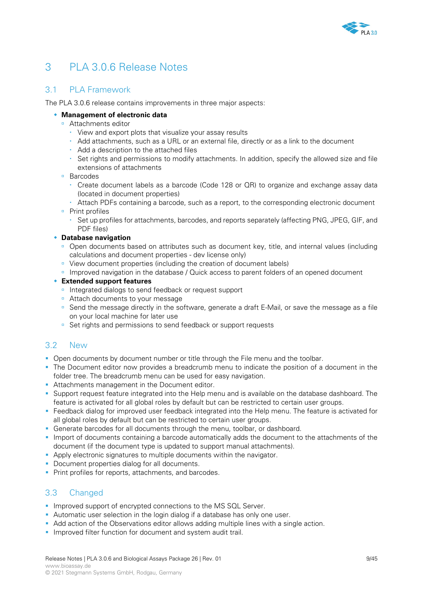

# 3 PLA 3.0.6 Release Notes

# 3.1 PLA Framework

The PLA 3.0.6 release contains improvements in three major aspects:

## **Management of electronic data**

- **Attachments editor** 
	- View and export plots that visualize your assay results
	- Add attachments, such as a URL or an external file, directly or as a link to the document
	- Add a description to the attached files
	- Set rights and permissions to modify attachments. In addition, specify the allowed size and file extensions of attachments

### ■ Barcodes

- Create document labels as a barcode (Code 128 or QR) to organize and exchange assay data (located in document properties)
- Attach PDFs containing a barcode, such as a report, to the corresponding electronic document
- Print profiles
	- Set up profiles for attachments, barcodes, and reports separately (affecting PNG, JPEG, GIF, and PDF files)

## **Database navigation**

- <sup>o</sup> Open documents based on attributes such as document key, title, and internal values (including calculations and document properties - dev license only)
- View document properties (including the creation of document labels)
- **Improved navigation in the database / Quick access to parent folders of an opened document**

## **Extended support features**

- Integrated dialogs to send feedback or request support
- Attach documents to your message
- Send the message directly in the software, generate a draft E-Mail, or save the message as a file on your local machine for later use
- Set rights and permissions to send feedback or support requests

## 3.2 New

- **Open documents by document number or title through the File menu and the toolbar.**
- The Document editor now provides a breadcrumb menu to indicate the position of a document in the folder tree. The breadcrumb menu can be used for easy navigation.
- Attachments management in the Document editor.
- Support request feature integrated into the Help menu and is available on the database dashboard. The feature is activated for all global roles by default but can be restricted to certain user groups.
- Feedback dialog for improved user feedback integrated into the Help menu. The feature is activated for all global roles by default but can be restricted to certain user groups.
- Generate barcodes for all documents through the menu, toolbar, or dashboard.
- **Import of documents containing a barcode automatically adds the document to the attachments of the** document (if the document type is updated to support manual attachments).
- Apply electronic signatures to multiple documents within the navigator.
- Document properties dialog for all documents.
- **Print profiles for reports, attachments, and barcodes.**

# 3.3 Changed

- **Improved support of encrypted connections to the MS SQL Server.**
- Automatic user selection in the login dialog if a database has only one user.
- Add action of the Observations editor allows adding multiple lines with a single action.
- **Improved filter function for document and system audit trail.**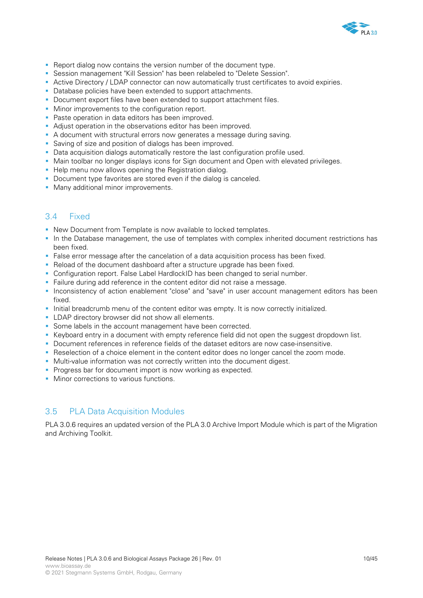

- **Report dialog now contains the version number of the document type.**
- Session management "Kill Session" has been relabeled to "Delete Session".
- Active Directory / LDAP connector can now automatically trust certificates to avoid expiries.
- Database policies have been extended to support attachments.
- Document export files have been extended to support attachment files.
- Minor improvements to the configuration report.
- **Paste operation in data editors has been improved.**
- Adjust operation in the observations editor has been improved.
- A document with structural errors now generates a message during saving.
- Saving of size and position of dialogs has been improved.
- Data acquisition dialogs automatically restore the last configuration profile used.
- Main toolbar no longer displays icons for Sign document and Open with elevated privileges.
- Help menu now allows opening the Registration dialog.
- Document type favorites are stored even if the dialog is canceled.
- **Many additional minor improvements.**

# 3.4 Fixed

- New Document from Template is now available to locked templates.
- In the Database management, the use of templates with complex inherited document restrictions has been fixed.
- False error message after the cancelation of a data acquisition process has been fixed.
- **-** Reload of the document dashboard after a structure upgrade has been fixed.
- Configuration report. False Label HardlockID has been changed to serial number.
- Failure during add reference in the content editor did not raise a message.
- Inconsistency of action enablement "close" and "save" in user account management editors has been fixed.
- Initial breadcrumb menu of the content editor was empty. It is now correctly initialized.
- **LDAP directory browser did not show all elements.**
- Some labels in the account management have been corrected.
- Keyboard entry in a document with empty reference field did not open the suggest dropdown list.
- Document references in reference fields of the dataset editors are now case-insensitive.
- Reselection of a choice element in the content editor does no longer cancel the zoom mode.
- Multi-value information was not correctly written into the document digest.
- **Progress bar for document import is now working as expected.**
- **Minor corrections to various functions**

## 3.5 PLA Data Acquisition Modules

PLA 3.0.6 requires an updated version of the PLA 3.0 Archive Import Module which is part of the Migration and Archiving Toolkit.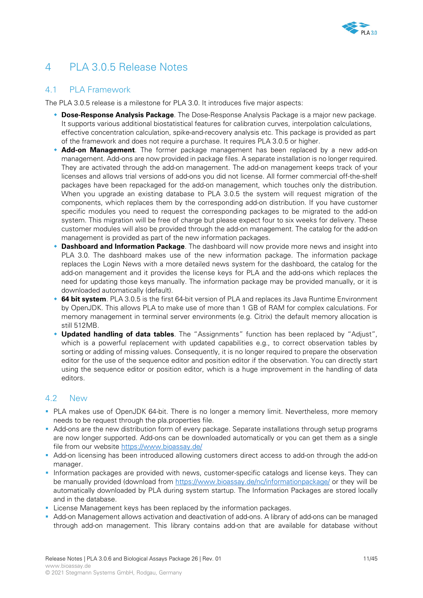

# 4 PLA 3.0.5 Release Notes

## 4.1 PLA Framework

The PLA 3.0.5 release is a milestone for PLA 3.0. It introduces five major aspects:

- **Dose-Response Analysis Package**. The Dose-Response Analysis Package is a major new package. It supports various additional biostatistical features for calibration curves, interpolation calculations, effective concentration calculation, spike-and-recovery analysis etc. This package is provided as part of the framework and does not require a purchase. It requires PLA 3.0.5 or higher.
- **Add-on Management**. The former package management has been replaced by a new add-on management. Add-ons are now provided in package files. A separate installation is no longer required. They are activated through the add-on management. The add-on management keeps track of your licenses and allows trial versions of add-ons you did not license. All former commercial off-the-shelf packages have been repackaged for the add-on management, which touches only the distribution. When you upgrade an existing database to PLA 3.0.5 the system will request migration of the components, which replaces them by the corresponding add-on distribution. If you have customer specific modules you need to request the corresponding packages to be migrated to the add-on system. This migration will be free of charge but please expect four to six weeks for delivery. These customer modules will also be provided through the add-on management. The catalog for the add-on management is provided as part of the new information packages.
- **Dashboard and Information Package**. The dashboard will now provide more news and insight into PLA 3.0. The dashboard makes use of the new information package. The information package replaces the Login News with a more detailed news system for the dashboard, the catalog for the add-on management and it provides the license keys for PLA and the add-ons which replaces the need for updating those keys manually. The information package may be provided manually, or it is downloaded automatically (default).
- **64 bit system**. PLA 3.0.5 is the first 64-bit version of PLA and replaces its Java Runtime Environment by OpenJDK. This allows PLA to make use of more than 1 GB of RAM for complex calculations. For memory management in terminal server environments (e.g. Citrix) the default memory allocation is still 512MB.
- **Updated handling of data tables**. The "Assignments" function has been replaced by "Adjust", which is a powerful replacement with updated capabilities e.g., to correct observation tables by sorting or adding of missing values. Consequently, it is no longer required to prepare the observation editor for the use of the sequence editor and position editor if the observation. You can directly start using the sequence editor or position editor, which is a huge improvement in the handling of data editors.

## 4.2 New

- PLA makes use of OpenJDK 64-bit. There is no longer a memory limit. Nevertheless, more memory needs to be request through the pla.properties file.
- Add-ons are the new distribution form of every package. Separate installations through setup programs are now longer supported. Add-ons can be downloaded automatically or you can get them as a single file from our website<https://www.bioassay.de/>
- Add-on licensing has been introduced allowing customers direct access to add-on through the add-on manager.
- **Information packages are provided with news, customer-specific catalogs and license keys. They can** be manually provided (download from<https://www.bioassay.de/nc/informationpackage/> or they will be automatically downloaded by PLA during system startup. The Information Packages are stored locally and in the database.
- **License Management keys has been replaced by the information packages.**
- Add-on Management allows activation and deactivation of add-ons. A library of add-ons can be managed through add-on management. This library contains add-on that are available for database without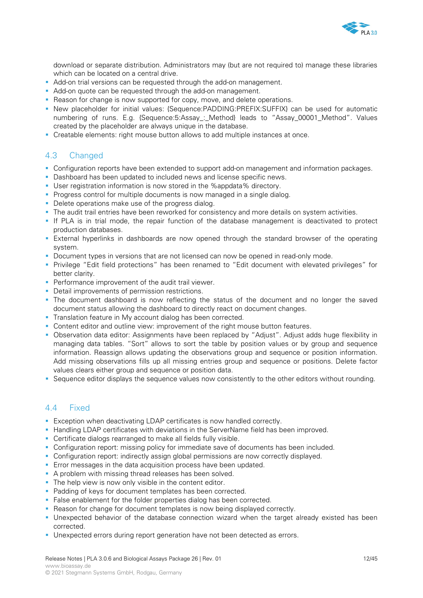

download or separate distribution. Administrators may (but are not required to) manage these libraries which can be located on a central drive.

- Add-on trial versions can be requested through the add-on management.
- Add-on quote can be requested through the add-on management.
- Reason for change is now supported for copy, move, and delete operations.
- New placeholder for initial values: {Sequence:PADDING:PREFIX:SUFFIX} can be used for automatic numbering of runs. E.g. {Sequence:5:Assay: Method} leads to "Assay 00001 Method". Values created by the placeholder are always unique in the database.
- Creatable elements: right mouse button allows to add multiple instances at once.

# 4.3 Changed

- Configuration reports have been extended to support add-on management and information packages.
- Dashboard has been updated to included news and license specific news.
- User registration information is now stored in the %appdata% directory.
- **Progress control for multiple documents is now managed in a single dialog.**
- Delete operations make use of the progress dialog.
- **The audit trail entries have been reworked for consistency and more details on system activities.**
- If PLA is in trial mode, the repair function of the database management is deactivated to protect production databases.
- External hyperlinks in dashboards are now opened through the standard browser of the operating system.
- Document types in versions that are not licensed can now be opened in read-only mode.
- Privilege "Edit field protections" has been renamed to "Edit document with elevated privileges" for better clarity.
- **Performance improvement of the audit trail viewer.**
- Detail improvements of permission restrictions.
- The document dashboard is now reflecting the status of the document and no longer the saved document status allowing the dashboard to directly react on document changes.
- Translation feature in My account dialog has been corrected.
- Content editor and outline view: improvement of the right mouse button features.
- Observation data editor: Assignments have been replaced by "Adjust". Adjust adds huge flexibility in managing data tables. "Sort" allows to sort the table by position values or by group and sequence information. Reassign allows updating the observations group and sequence or position information. Add missing observations fills up all missing entries group and sequence or positions. Delete factor values clears either group and sequence or position data.
- Sequence editor displays the sequence values now consistently to the other editors without rounding.

## 4.4 Fixed

- Exception when deactivating LDAP certificates is now handled correctly.
- **Handling LDAP certificates with deviations in the ServerName field has been improved.**
- **Certificate dialogs rearranged to make all fields fully visible.**
- Configuration report: missing policy for immediate save of documents has been included.
- Configuration report: indirectly assign global permissions are now correctly displayed.
- **Error messages in the data acquisition process have been updated.**
- A problem with missing thread releases has been solved.
- The help view is now only visible in the content editor.
- **Padding of keys for document templates has been corrected.**
- False enablement for the folder properties dialog has been corrected.
- Reason for change for document templates is now being displayed correctly.
- Unexpected behavior of the database connection wizard when the target already existed has been corrected.
- Unexpected errors during report generation have not been detected as errors.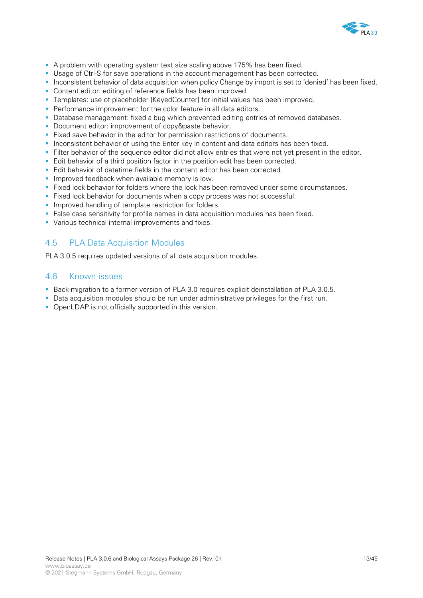

- A problem with operating system text size scaling above 175% has been fixed.
- Usage of Ctrl-S for save operations in the account management has been corrected.
- Inconsistent behavior of data acquisition when policy Change by import is set to 'denied' has been fixed.
- **Content editor: editing of reference fields has been improved.**
- Templates: use of placeholder {KeyedCounter} for initial values has been improved.
- **Performance improvement for the color feature in all data editors.**
- Database management: fixed a bug which prevented editing entries of removed databases.
- **-** Document editor: improvement of copy&paste behavior.
- Fixed save behavior in the editor for permission restrictions of documents.
- **Inconsistent behavior of using the Enter key in content and data editors has been fixed.**
- Filter behavior of the sequence editor did not allow entries that were not yet present in the editor.
- Edit behavior of a third position factor in the position edit has been corrected.
- Edit behavior of datetime fields in the content editor has been corrected.
- **Improved feedback when available memory is low.**
- Fixed lock behavior for folders where the lock has been removed under some circumstances.
- Fixed lock behavior for documents when a copy process was not successful.
- **Improved handling of template restriction for folders.**
- False case sensitivity for profile names in data acquisition modules has been fixed.
- **Various technical internal improvements and fixes.**

## 4.5 PLA Data Acquisition Modules

PLA 3.0.5 requires updated versions of all data acquisition modules.

## 4.6 Known issues

- Back-migration to a former version of PLA 3.0 requires explicit deinstallation of PLA 3.0.5.
- Data acquisition modules should be run under administrative privileges for the first run.
- **OpenLDAP** is not officially supported in this version.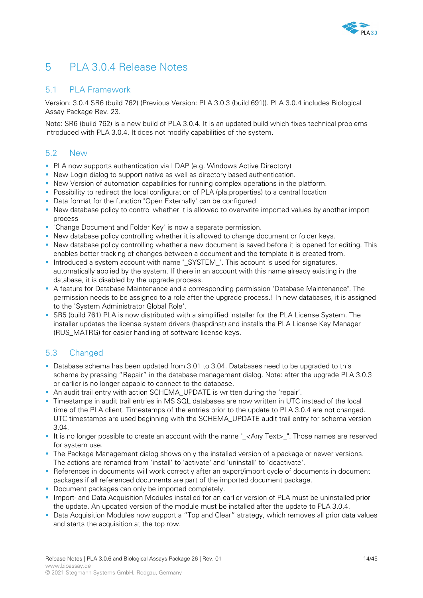

# 5 PLA 3.0.4 Release Notes

## 5.1 PLA Framework

Version: 3.0.4 SR6 (build 762) (Previous Version: PLA 3.0.3 (build 691)). PLA 3.0.4 includes Biological Assay Package Rev. 23.

Note: SR6 (build 762) is a new build of PLA 3.0.4. It is an updated build which fixes technical problems introduced with PLA 3.0.4. It does not modify capabilities of the system.

# 5.2 New

- PLA now supports authentication via LDAP (e.g. Windows Active Directory)
- New Login dialog to support native as well as directory based authentication.
- New Version of automation capabilities for running complex operations in the platform.
- **Possibility to redirect the local configuration of PLA (pla.properties) to a central location**
- Data format for the function "Open Externally" can be configured
- New database policy to control whether it is allowed to overwrite imported values by another import process
- **"Change Document and Folder Key" is now a separate permission.**
- New database policy controlling whether it is allowed to change document or folder keys.
- New database policy controlling whether a new document is saved before it is opened for editing. This enables better tracking of changes between a document and the template it is created from.
- Introduced a system account with name "\_SYSTEM\_". This account is used for signatures, automatically applied by the system. If there in an account with this name already existing in the database, it is disabled by the upgrade process.
- A feature for Database Maintenance and a corresponding permission "Database Maintenance". The permission needs to be assigned to a role after the upgrade process.! In new databases, it is assigned to the 'System Administrator Global Role'.
- SR5 (build 761) PLA is now distributed with a simplified installer for the PLA License System. The installer updates the license system drivers (haspdinst) and installs the PLA License Key Manager (RUS\_MATRG) for easier handling of software license keys.

# 5.3 Changed

- Database schema has been updated from 3.01 to 3.04. Databases need to be upgraded to this scheme by pressing "Repair" in the database management dialog. Note: after the upgrade PLA 3.0.3 or earlier is no longer capable to connect to the database.
- An audit trail entry with action SCHEMA\_UPDATE is written during the 'repair'.
- Timestamps in audit trail entries in MS SQL databases are now written in UTC instead of the local time of the PLA client. Timestamps of the entries prior to the update to PLA 3.0.4 are not changed. UTC timestamps are used beginning with the SCHEMA\_UPDATE audit trail entry for schema version 3.04.
- It is no longer possible to create an account with the name "\_<Any Text>\_". Those names are reserved for system use.
- The Package Management dialog shows only the installed version of a package or newer versions. The actions are renamed from 'install' to 'activate' and 'uninstall' to 'deactivate'.
- References in documents will work correctly after an export/import cycle of documents in document packages if all referenced documents are part of the imported document package.
- Document packages can only be imported completely.
- **Import- and Data Acquisition Modules installed for an earlier version of PLA must be uninstalled prior** the update. An updated version of the module must be installed after the update to PLA 3.0.4.
- Data Acquisition Modules now support a "Top and Clear" strategy, which removes all prior data values and starts the acquisition at the top row.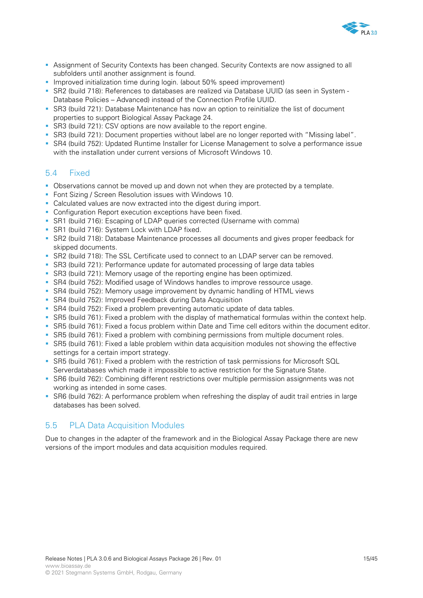

- Assignment of Security Contexts has been changed. Security Contexts are now assigned to all subfolders until another assignment is found.
- Improved initialization time during login. (about 50% speed improvement)
- SR2 (build 718): References to databases are realized via Database UUID (as seen in System Database Policies – Advanced) instead of the Connection Profile UUID.
- SR3 (build 721): Database Maintenance has now an option to reinitialize the list of document properties to support Biological Assay Package 24.
- SR3 (build 721): CSV options are now available to the report engine.
- SR3 (build 721): Document properties without label are no longer reported with "Missing label".
- SR4 (build 752): Updated Runtime Installer for License Management to solve a performance issue with the installation under current versions of Microsoft Windows 10.

## 5.4 Fixed

- Observations cannot be moved up and down not when they are protected by a template.
- **Font Sizing / Screen Resolution issues with Windows 10.**
- Calculated values are now extracted into the digest during import.
- **Configuration Report execution exceptions have been fixed.**
- SR1 (build 716): Escaping of LDAP queries corrected (Username with comma)
- SR1 (build 716): System Lock with LDAP fixed.
- SR2 (build 718): Database Maintenance processes all documents and gives proper feedback for skipped documents.
- SR2 (build 718): The SSL Certificate used to connect to an LDAP server can be removed.
- SR3 (build 721): Performance update for automated processing of large data tables
- SR3 (build 721): Memory usage of the reporting engine has been optimized.
- SR4 (build 752): Modified usage of Windows handles to improve ressource usage.
- SR4 (build 752): Memory usage improvement by dynamic handling of HTML views
- SR4 (build 752): Improved Feedback during Data Acquisition
- SR4 (build 752): Fixed a problem preventing automatic update of data tables.
- SR5 (build 761): Fixed a problem with the display of mathematical formulas within the context help.
- SR5 (build 761): Fixed a focus problem within Date and Time cell editors within the document editor.
- SR5 (build 761): Fixed a problem with combining permissions from multiple document roles.
- SR5 (build 761): Fixed a lable problem within data acquisition modules not showing the effective settings for a certain import strategy.
- SR5 (build 761): Fixed a problem with the restriction of task permissions for Microsoft SQL Serverdatabases which made it impossible to active restriction for the Signature State.
- SR6 (build 762): Combining different restrictions over multiple permission assignments was not working as intended in some cases.
- SR6 (build 762): A performance problem when refreshing the display of audit trail entries in large databases has been solved.

# 5.5 PLA Data Acquisition Modules

Due to changes in the adapter of the framework and in the Biological Assay Package there are new versions of the import modules and data acquisition modules required.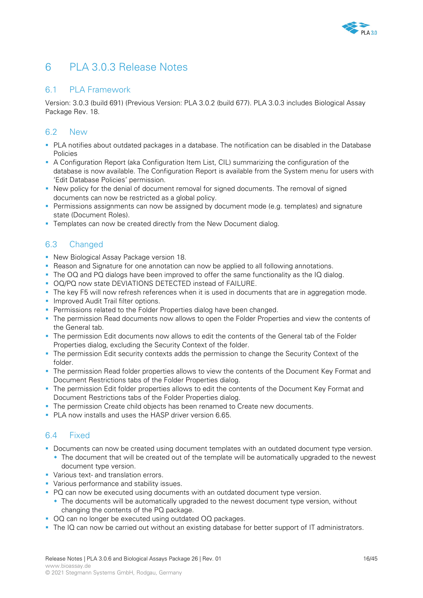

# 6 PLA 3.0.3 Release Notes

## 6.1 PLA Framework

Version: 3.0.3 (build 691) (Previous Version: PLA 3.0.2 (build 677). PLA 3.0.3 includes Biological Assay Package Rev. 18.

# 6.2 New

- PLA notifies about outdated packages in a database. The notification can be disabled in the Database **Policies**
- A Configuration Report (aka Configuration Item List, CIL) summarizing the configuration of the database is now available. The Configuration Report is available from the System menu for users with 'Edit Database Policies' permission.
- New policy for the denial of document removal for signed documents. The removal of signed documents can now be restricted as a global policy.
- **Permissions assignments can now be assigned by document mode (e.g. templates) and signature** state (Document Roles).
- **Templates can now be created directly from the New Document dialog.**

# 6.3 Changed

- **New Biological Assay Package version 18.**
- Reason and Signature for one annotation can now be applied to all following annotations.
- The OQ and PQ dialogs have been improved to offer the same functionality as the IQ dialog.
- OQ/PQ now state DEVIATIONS DETECTED instead of FAILURE.
- The key F5 will now refresh references when it is used in documents that are in aggregation mode.
- **Improved Audit Trail filter options.**
- **Permissions related to the Folder Properties dialog have been changed.**
- The permission Read documents now allows to open the Folder Properties and view the contents of the General tab.
- The permission Edit documents now allows to edit the contents of the General tab of the Folder Properties dialog, excluding the Security Context of the folder.
- The permission Edit security contexts adds the permission to change the Security Context of the folder.
- **The permission Read folder properties allows to view the contents of the Document Key Format and** Document Restrictions tabs of the Folder Properties dialog.
- **The permission Edit folder properties allows to edit the contents of the Document Key Format and** Document Restrictions tabs of the Folder Properties dialog.
- The permission Create child objects has been renamed to Create new documents.
- **PLA now installs and uses the HASP driver version 6.65.**

# 6.4 Fixed

- Documents can now be created using document templates with an outdated document type version.
	- The document that will be created out of the template will be automatically upgraded to the newest document type version.
- **Various text- and translation errors.**
- **•** Various performance and stability issues.
- PQ can now be executed using documents with an outdated document type version.
	- The documents will be automatically upgraded to the newest document type version, without changing the contents of the PQ package.
- OQ can no longer be executed using outdated OQ packages.
- The IQ can now be carried out without an existing database for better support of IT administrators.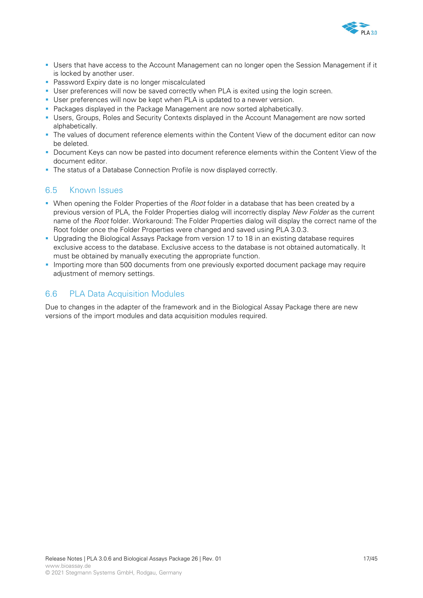

- Users that have access to the Account Management can no longer open the Session Management if it is locked by another user.
- **Password Expiry date is no longer miscalculated**
- User preferences will now be saved correctly when PLA is exited using the login screen.
- User preferences will now be kept when PLA is updated to a newer version.
- **Packages displayed in the Package Management are now sorted alphabetically.**
- Users, Groups, Roles and Security Contexts displayed in the Account Management are now sorted alphabetically.
- The values of document reference elements within the Content View of the document editor can now be deleted.
- **Document Keys can now be pasted into document reference elements within the Content View of the** document editor.
- The status of a Database Connection Profile is now displayed correctly.

## 6.5 Known Issues

- When opening the Folder Properties of the *Root* folder in a database that has been created by a previous version of PLA, the Folder Properties dialog will incorrectly display *New Folder* as the current name of the *Root* folder. Workaround: The Folder Properties dialog will display the correct name of the Root folder once the Folder Properties were changed and saved using PLA 3.0.3.
- Upgrading the Biological Assays Package from version 17 to 18 in an existing database requires exclusive access to the database. Exclusive access to the database is not obtained automatically. It must be obtained by manually executing the appropriate function.
- **Importing more than 500 documents from one previously exported document package may require** adjustment of memory settings.

## 6.6 PLA Data Acquisition Modules

Due to changes in the adapter of the framework and in the Biological Assay Package there are new versions of the import modules and data acquisition modules required.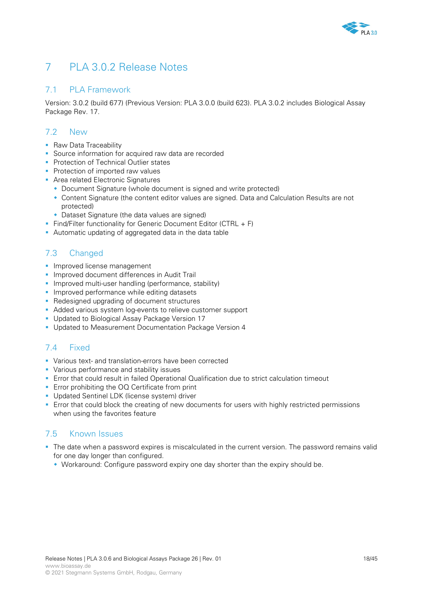

# 7 PLA 3.0.2 Release Notes

# 7.1 PLA Framework

Version: 3.0.2 (build 677) (Previous Version: PLA 3.0.0 (build 623). PLA 3.0.2 includes Biological Assay Package Rev. 17.

# 7.2 New

- **Raw Data Traceability**
- Source information for acquired raw data are recorded
- **Protection of Technical Outlier states**
- **Protection of imported raw values**
- **Area related Electronic Signatures** 
	- Document Signature (whole document is signed and write protected)
	- Content Signature (the content editor values are signed. Data and Calculation Results are not protected)
	- Dataset Signature (the data values are signed)
- Find/Filter functionality for Generic Document Editor (CTRL  $+$  F)
- Automatic updating of aggregated data in the data table

# 7.3 Changed

- **Improved license management**
- **Improved document differences in Audit Trail**
- **Improved multi-user handling (performance, stability)**
- **Improved performance while editing datasets**
- Redesigned upgrading of document structures
- Added various system log-events to relieve customer support
- **Updated to Biological Assay Package Version 17**
- **Updated to Measurement Documentation Package Version 4**

# 7.4 Fixed

- Various text- and translation-errors have been corrected
- **•** Various performance and stability issues
- Error that could result in failed Operational Qualification due to strict calculation timeout
- **Error prohibiting the OQ Certificate from print**
- **Updated Sentinel LDK (license system) driver**
- **E** Fror that could block the creating of new documents for users with highly restricted permissions when using the favorites feature

# 7.5 Known Issues

- The date when a password expires is miscalculated in the current version. The password remains valid for one day longer than configured.
	- Workaround: Configure password expiry one day shorter than the expiry should be.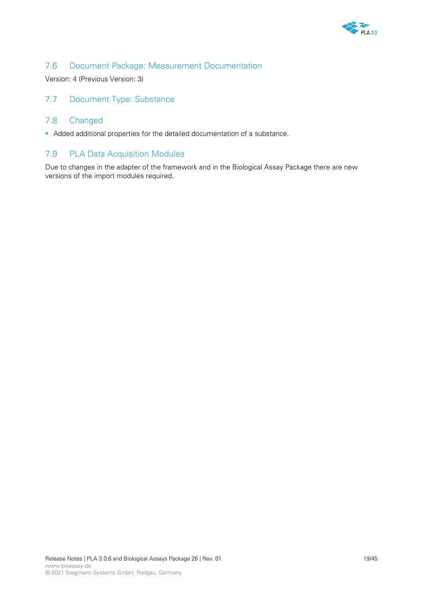

# 7.6 Document Package: Measurement Documentation

Version: 4 (Previous Version: 3)

# 7.7 Document Type: Substance

## 7.8 Changed

Added additional properties for the detailed documentation of a substance.

## 7.9 PLA Data Acquisition Modules

Due to changes in the adapter of the framework and in the Biological Assay Package there are new versions of the import modules required.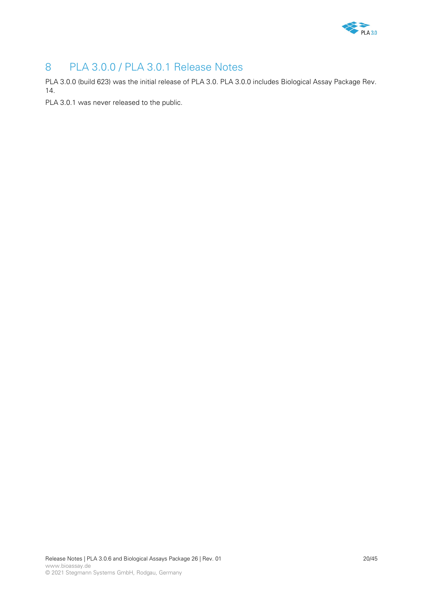

# 8 PLA 3.0.0 / PLA 3.0.1 Release Notes

PLA 3.0.0 (build 623) was the initial release of PLA 3.0. PLA 3.0.0 includes Biological Assay Package Rev. 14.

PLA 3.0.1 was never released to the public.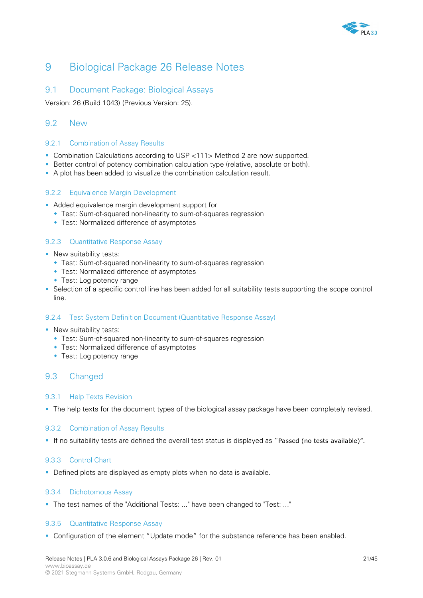

# 9 Biological Package 26 Release Notes

## 9.1 Document Package: Biological Assays

Version: 26 (Build 1043) (Previous Version: 25).

## 9.2 New

### 9.2.1 Combination of Assay Results

- Combination Calculations according to USP <111> Method 2 are now supported.
- Better control of potency combination calculation type (relative, absolute or both).
- A plot has been added to visualize the combination calculation result.

## 9.2.2 Equivalence Margin Development

- Added equivalence margin development support for
	- Test: Sum-of-squared non-linearity to sum-of-squares regression
	- Test: Normalized difference of asymptotes

## 9.2.3 Quantitative Response Assay

- **New suitability tests:** 
	- Test: Sum-of-squared non-linearity to sum-of-squares regression
	- Test: Normalized difference of asymptotes
	- **Test: Log potency range**
- Selection of a specific control line has been added for all suitability tests supporting the scope control line.

### 9.2.4 Test System Definition Document (Quantitative Response Assay)

- **New suitability tests:** 
	- Test: Sum-of-squared non-linearity to sum-of-squares regression
	- Test: Normalized difference of asymptotes
	- Test: Log potency range

## 9.3 Changed

### 9.3.1 Help Texts Revision

The help texts for the document types of the biological assay package have been completely revised.

### 9.3.2 Combination of Assay Results

If no suitability tests are defined the overall test status is displayed as "Passed (no tests available)".

### 9.3.3 Control Chart

Defined plots are displayed as empty plots when no data is available.

### 9.3.4 Dichotomous Assay

The test names of the "Additional Tests: ..." have been changed to "Test: ..."

### 9.3.5 Quantitative Response Assay

Configuration of the element "Update mode" for the substance reference has been enabled.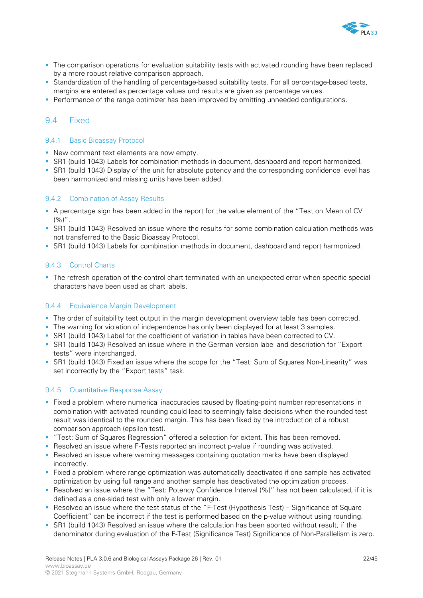

- **The comparison operations for evaluation suitability tests with activated rounding have been replaced** by a more robust relative comparison approach.
- **Standardization of the handling of percentage-based suitability tests. For all percentage-based tests,** margins are entered as percentage values und results are given as percentage values.
- Performance of the range optimizer has been improved by omitting unneeded configurations.

## 9.4 Fixed

### 9.4.1 Basic Bioassay Protocol

- **New comment text elements are now empty.**
- SR1 (build 1043) Labels for combination methods in document, dashboard and report harmonized.
- SR1 (build 1043) Display of the unit for absolute potency and the corresponding confidence level has been harmonized and missing units have been added.

### 9.4.2 Combination of Assay Results

- A percentage sign has been added in the report for the value element of the "Test on Mean of CV  $(%)''.$
- SR1 (build 1043) Resolved an issue where the results for some combination calculation methods was not transferred to the Basic Bioassay Protocol.
- SR1 (build 1043) Labels for combination methods in document, dashboard and report harmonized.

### 9.4.3 Control Charts

The refresh operation of the control chart terminated with an unexpected error when specific special characters have been used as chart labels.

### 9.4.4 Equivalence Margin Development

- The order of suitability test output in the margin development overview table has been corrected.
- The warning for violation of independence has only been displayed for at least 3 samples.
- SR1 (build 1043) Label for the coefficient of variation in tables have been corrected to CV.
- SR1 (build 1043) Resolved an issue where in the German version label and description for "Export tests" were interchanged.
- SR1 (build 1043) Fixed an issue where the scope for the "Test: Sum of Squares Non-Linearity" was set incorrectly by the "Export tests" task.

#### 9.4.5 Quantitative Response Assay

- Fixed a problem where numerical inaccuracies caused by floating-point number representations in combination with activated rounding could lead to seemingly false decisions when the rounded test result was identical to the rounded margin. This has been fixed by the introduction of a robust comparison approach (epsilon test).
- "Test: Sum of Squares Regression" offered a selection for extent. This has been removed.
- **Resolved an issue where F-Tests reported an incorrect p-value if rounding was activated.**
- Resolved an issue where warning messages containing quotation marks have been displayed incorrectly.
- Fixed a problem where range optimization was automatically deactivated if one sample has activated optimization by using full range and another sample has deactivated the optimization process.
- Resolved an issue where the "Test: Potency Confidence Interval (%)" has not been calculated, if it is defined as a one-sided test with only a lower margin.
- **Resolved an issue where the test status of the "F-Test (Hypothesis Test) Significance of Square** Coefficient" can be incorrect if the test is performed based on the p-value without using rounding.
- SR1 (build 1043) Resolved an issue where the calculation has been aborted without result, if the denominator during evaluation of the F-Test (Significance Test) Significance of Non-Parallelism is zero.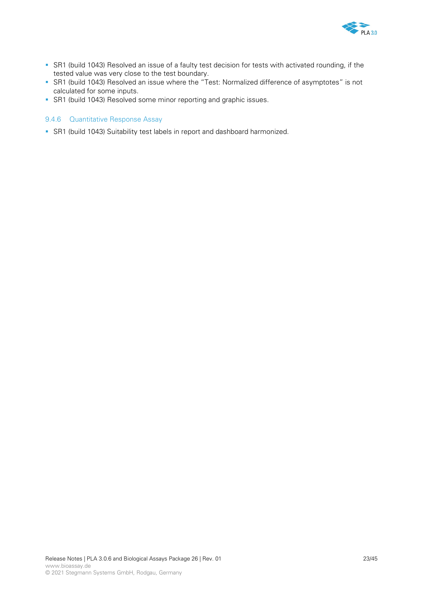

- SR1 (build 1043) Resolved an issue of a faulty test decision for tests with activated rounding, if the tested value was very close to the test boundary.
- SR1 (build 1043) Resolved an issue where the "Test: Normalized difference of asymptotes" is not calculated for some inputs.
- SR1 (build 1043) Resolved some minor reporting and graphic issues.

### 9.4.6 Quantitative Response Assay

SR1 (build 1043) Suitability test labels in report and dashboard harmonized.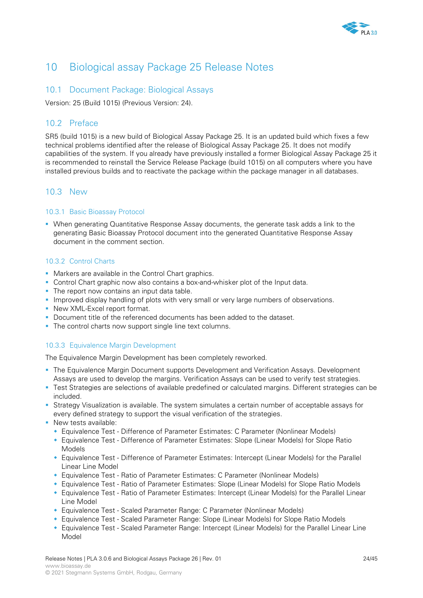

# 10 Biological assay Package 25 Release Notes

## 10.1 Document Package: Biological Assays

Version: 25 (Build 1015) (Previous Version: 24).

## 10.2 Preface

SR5 (build 1015) is a new build of Biological Assay Package 25. It is an updated build which fixes a few technical problems identified after the release of Biological Assay Package 25. It does not modify capabilities of the system. If you already have previously installed a former Biological Assay Package 25 it is recommended to reinstall the Service Release Package (build 1015) on all computers where you have installed previous builds and to reactivate the package within the package manager in all databases.

## 10.3 New

### 10.3.1 Basic Bioassay Protocol

 When generating Quantitative Response Assay documents, the generate task adds a link to the generating Basic Bioassay Protocol document into the generated Quantitative Response Assay document in the comment section.

### 10.3.2 Control Charts

- Markers are available in the Control Chart graphics.
- Control Chart graphic now also contains a box-and-whisker plot of the Input data.
- The report now contains an input data table.
- **Improved display handling of plots with very small or very large numbers of observations.**
- New XML-Excel report format.
- Document title of the referenced documents has been added to the dataset.
- The control charts now support single line text columns.

## 10.3.3 Equivalence Margin Development

The Equivalence Margin Development has been completely reworked.

- **The Equivalence Margin Document supports Development and Verification Assays. Development** Assays are used to develop the margins. Verification Assays can be used to verify test strategies.
- Test Strategies are selections of available predefined or calculated margins. Different strategies can be included.
- Strategy Visualization is available. The system simulates a certain number of acceptable assays for every defined strategy to support the visual verification of the strategies.
- **New tests available:** 
	- Equivalence Test Difference of Parameter Estimates: C Parameter (Nonlinear Models)
	- Equivalence Test Difference of Parameter Estimates: Slope (Linear Models) for Slope Ratio Models
	- Equivalence Test Difference of Parameter Estimates: Intercept (Linear Models) for the Parallel Linear Line Model
	- Equivalence Test Ratio of Parameter Estimates: C Parameter (Nonlinear Models)
	- Equivalence Test Ratio of Parameter Estimates: Slope (Linear Models) for Slope Ratio Models
	- Equivalence Test Ratio of Parameter Estimates: Intercept (Linear Models) for the Parallel Linear Line Model
	- Equivalence Test Scaled Parameter Range: C Parameter (Nonlinear Models)
	- Equivalence Test Scaled Parameter Range: Slope (Linear Models) for Slope Ratio Models
	- Equivalence Test Scaled Parameter Range: Intercept (Linear Models) for the Parallel Linear Line Model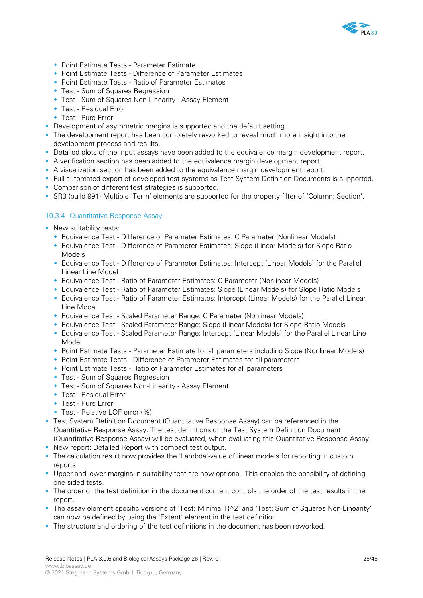

- Point Estimate Tests Parameter Estimate
- Point Estimate Tests Difference of Parameter Estimates
- Point Estimate Tests Ratio of Parameter Estimates
- Test Sum of Squares Regression
- Test Sum of Squares Non-Linearity Assay Element
- Test Residual Error
- Test Pure Error
- Development of asymmetric margins is supported and the default setting.
- **The development report has been completely reworked to reveal much more insight into the** development process and results.
- Detailed plots of the input assays have been added to the equivalence margin development report.
- A verification section has been added to the equivalence margin development report.
- A visualization section has been added to the equivalence margin development report.
- Full automated export of developed test systems as Test System Definition Documents is supported.
- **Comparison of different test strategies is supported.**
- SR3 (build 991) Multiple 'Term' elements are supported for the property filter of 'Column: Section'.

## 10.3.4 Quantitative Response Assay

- **New suitability tests:** 
	- Equivalence Test Difference of Parameter Estimates: C Parameter (Nonlinear Models)
	- Equivalence Test Difference of Parameter Estimates: Slope (Linear Models) for Slope Ratio Models
	- Equivalence Test Difference of Parameter Estimates: Intercept (Linear Models) for the Parallel Linear Line Model
	- Equivalence Test Ratio of Parameter Estimates: C Parameter (Nonlinear Models)
	- Equivalence Test Ratio of Parameter Estimates: Slope (Linear Models) for Slope Ratio Models
	- Equivalence Test Ratio of Parameter Estimates: Intercept (Linear Models) for the Parallel Linear Line Model
	- Equivalence Test Scaled Parameter Range: C Parameter (Nonlinear Models)
	- Equivalence Test Scaled Parameter Range: Slope (Linear Models) for Slope Ratio Models
	- Equivalence Test Scaled Parameter Range: Intercept (Linear Models) for the Parallel Linear Line Model
	- Point Estimate Tests Parameter Estimate for all parameters including Slope (Nonlinear Models)
	- Point Estimate Tests Difference of Parameter Estimates for all parameters
	- Point Estimate Tests Ratio of Parameter Estimates for all parameters
	- Test Sum of Squares Regression
	- Test Sum of Squares Non-Linearity Assay Element
	- Test Residual Error
	- Test Pure Error
	- Test Relative LOF error (%)
- Test System Definition Document (Quantitative Response Assay) can be referenced in the Quantitative Response Assay. The test definitions of the Test System Definition Document (Quantitative Response Assay) will be evaluated, when evaluating this Quantitative Response Assay.
- New report: Detailed Report with compact test output.
- The calculation result now provides the 'Lambda'-value of linear models for reporting in custom reports.
- Upper and lower margins in suitability test are now optional. This enables the possibility of defining one sided tests.
- The order of the test definition in the document content controls the order of the test results in the report.
- The assay element specific versions of 'Test: Minimal R^2' and 'Test: Sum of Squares Non-Linearity' can now be defined by using the 'Extent' element in the test definition.
- The structure and ordering of the test definitions in the document has been reworked.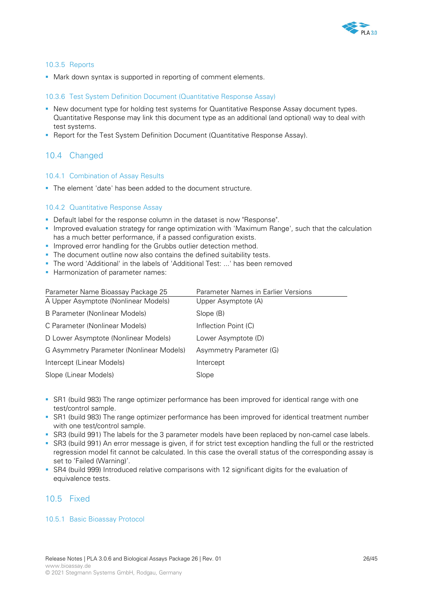

## 10.3.5 Reports

Mark down syntax is supported in reporting of comment elements.

### 10.3.6 Test System Definition Document (Quantitative Response Assay)

- New document type for holding test systems for Quantitative Response Assay document types. Quantitative Response may link this document type as an additional (and optional) way to deal with test systems.
- **-** Report for the Test System Definition Document (Quantitative Response Assay).

## 10.4 Changed

#### 10.4.1 Combination of Assay Results

The element 'date' has been added to the document structure.

### 10.4.2 Quantitative Response Assay

- Default label for the response column in the dataset is now "Response".
- Improved evaluation strategy for range optimization with 'Maximum Range', such that the calculation has a much better performance, if a passed configuration exists.
- **Improved error handling for the Grubbs outlier detection method.**
- The document outline now also contains the defined suitability tests.
- The word 'Additional' in the labels of 'Additional Test: ...' has been removed
- **Harmonization of parameter names:**

| Parameter Name Bioassay Package 25       | Parameter Names in Earlier Versions |
|------------------------------------------|-------------------------------------|
| A Upper Asymptote (Nonlinear Models)     | Upper Asymptote (A)                 |
| B Parameter (Nonlinear Models)           | Slope (B)                           |
| C Parameter (Nonlinear Models)           | Inflection Point (C)                |
| D Lower Asymptote (Nonlinear Models)     | Lower Asymptote (D)                 |
| G Asymmetry Parameter (Nonlinear Models) | Asymmetry Parameter (G)             |
| Intercept (Linear Models)                | Intercept                           |
| Slope (Linear Models)                    | Slope                               |

- SR1 (build 983) The range optimizer performance has been improved for identical range with one test/control sample.
- SR1 (build 983) The range optimizer performance has been improved for identical treatment number with one test/control sample.
- SR3 (build 991) The labels for the 3 parameter models have been replaced by non-camel case labels.
- SR3 (build 991) An error message is given, if for strict test exception handling the full or the restricted regression model fit cannot be calculated. In this case the overall status of the corresponding assay is set to 'Failed (Warning)'.
- SR4 (build 999) Introduced relative comparisons with 12 significant digits for the evaluation of equivalence tests.

## 10.5 Fixed

### 10.5.1 Basic Bioassay Protocol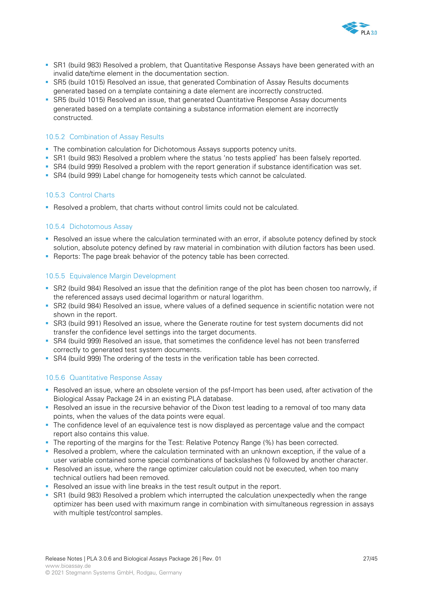

- SR1 (build 983) Resolved a problem, that Quantitative Response Assays have been generated with an invalid date/time element in the documentation section.
- SR5 (build 1015) Resolved an issue, that generated Combination of Assay Results documents generated based on a template containing a date element are incorrectly constructed.
- SR5 (build 1015) Resolved an issue, that generated Quantitative Response Assay documents generated based on a template containing a substance information element are incorrectly constructed.

#### 10.5.2 Combination of Assay Results

- The combination calculation for Dichotomous Assays supports potency units.
- SR1 (build 983) Resolved a problem where the status 'no tests applied' has been falsely reported.
- SR4 (build 999) Resolved a problem with the report generation if substance identification was set.
- SR4 (build 999) Label change for homogeneity tests which cannot be calculated.

### 10.5.3 Control Charts

Resolved a problem, that charts without control limits could not be calculated.

### 10.5.4 Dichotomous Assay

- Resolved an issue where the calculation terminated with an error, if absolute potency defined by stock solution, absolute potency defined by raw material in combination with dilution factors has been used.
- Reports: The page break behavior of the potency table has been corrected.

### 10.5.5 Equivalence Margin Development

- SR2 (build 984) Resolved an issue that the definition range of the plot has been chosen too narrowly, if the referenced assays used decimal logarithm or natural logarithm.
- SR2 (build 984) Resolved an issue, where values of a defined sequence in scientific notation were not shown in the report.
- SR3 (build 991) Resolved an issue, where the Generate routine for test system documents did not transfer the confidence level settings into the target documents.
- SR4 (build 999) Resolved an issue, that sometimes the confidence level has not been transferred correctly to generated test system documents.
- SR4 (build 999) The ordering of the tests in the verification table has been corrected.

### 10.5.6 Quantitative Response Assay

- Resolved an issue, where an obsolete version of the psf-Import has been used, after activation of the Biological Assay Package 24 in an existing PLA database.
- Resolved an issue in the recursive behavior of the Dixon test leading to a removal of too many data points, when the values of the data points were equal.
- The confidence level of an equivalence test is now displayed as percentage value and the compact report also contains this value.
- The reporting of the margins for the Test: Relative Potency Range (%) has been corrected.
- Resolved a problem, where the calculation terminated with an unknown exception, if the value of a user variable contained some special combinations of backslashes (\) followed by another character.
- **Resolved an issue, where the range optimizer calculation could not be executed, when too many** technical outliers had been removed.
- Resolved an issue with line breaks in the test result output in the report.
- SR1 (build 983) Resolved a problem which interrupted the calculation unexpectedly when the range optimizer has been used with maximum range in combination with simultaneous regression in assays with multiple test/control samples.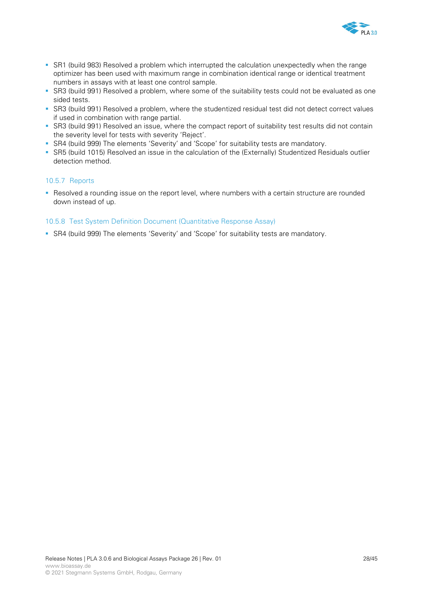

- SR1 (build 983) Resolved a problem which interrupted the calculation unexpectedly when the range optimizer has been used with maximum range in combination identical range or identical treatment numbers in assays with at least one control sample.
- SR3 (build 991) Resolved a problem, where some of the suitability tests could not be evaluated as one sided tests.
- SR3 (build 991) Resolved a problem, where the studentized residual test did not detect correct values if used in combination with range partial.
- SR3 (build 991) Resolved an issue, where the compact report of suitability test results did not contain the severity level for tests with severity 'Reject'.
- SR4 (build 999) The elements 'Severity' and 'Scope' for suitability tests are mandatory.
- SR5 (build 1015) Resolved an issue in the calculation of the (Externally) Studentized Residuals outlier detection method.

### 10.5.7 Reports

 Resolved a rounding issue on the report level, where numbers with a certain structure are rounded down instead of up.

### 10.5.8 Test System Definition Document (Quantitative Response Assay)

SR4 (build 999) The elements 'Severity' and 'Scope' for suitability tests are mandatory.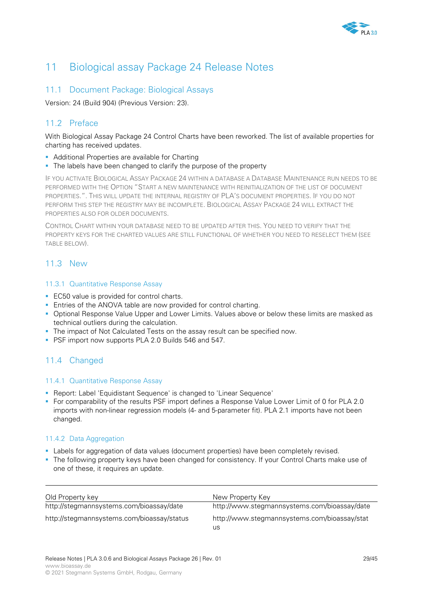

# 11 Biological assay Package 24 Release Notes

## 11.1 Document Package: Biological Assays

Version: 24 (Build 904) (Previous Version: 23).

# 11.2 Preface

With Biological Assay Package 24 Control Charts have been reworked. The list of available properties for charting has received updates.

- **Additional Properties are available for Charting**
- The labels have been changed to clarify the purpose of the property

IF YOU ACTIVATE BIOLOGICAL ASSAY PACKAGE 24 WITHIN A DATABASE A DATABASE MAINTENANCE RUN NEEDS TO BE PERFORMED WITH THE OPTION "START A NEW MAINTENANCE WITH REINITIALIZATION OF THE LIST OF DOCUMENT PROPERTIES.". THIS WILL UPDATE THE INTERNAL REGISTRY OF PLA'S DOCUMENT PROPERTIES. IF YOU DO NOT PERFORM THIS STEP THE REGISTRY MAY BE INCOMPLETE. BIOLOGICAL ASSAY PACKAGE 24 WILL EXTRACT THE PROPERTIES ALSO FOR OLDER DOCUMENTS.

CONTROL CHART WITHIN YOUR DATABASE NEED TO BE UPDATED AFTER THIS. YOU NEED TO VERIFY THAT THE PROPERTY KEYS FOR THE CHARTED VALUES ARE STILL FUNCTIONAL OF WHETHER YOU NEED TO RESELECT THEM (SEE TABLE BELOW).

# 11.3 New

## 11.3.1 Quantitative Response Assay

- **EC50** value is provided for control charts.
- **Entries of the ANOVA table are now provided for control charting.**
- **Optional Response Value Upper and Lower Limits. Values above or below these limits are masked as** technical outliers during the calculation.
- The impact of Not Calculated Tests on the assay result can be specified now.
- PSF import now supports PLA 2.0 Builds 546 and 547.

# 11.4 Changed

### 11.4.1 Quantitative Response Assay

- Report: Label 'Equidistant Sequence' is changed to 'Linear Sequence'
- For comparability of the results PSF import defines a Response Value Lower Limit of 0 for PLA 2.0 imports with non-linear regression models (4- and 5-parameter fit). PLA 2.1 imports have not been changed.

### 11.4.2 Data Aggregation

- Labels for aggregation of data values (document properties) have been completely revised.
- The following property keys have been changed for consistency. If your Control Charts make use of one of these, it requires an update.

| Old Property key                           | New Property Key                                   |
|--------------------------------------------|----------------------------------------------------|
| http://stegmannsystems.com/bioassay/date   | http://www.stegmannsystems.com/bioassay/date       |
| http://stegmannsystems.com/bioassay/status | http://www.stegmannsystems.com/bioassay/stat<br>us |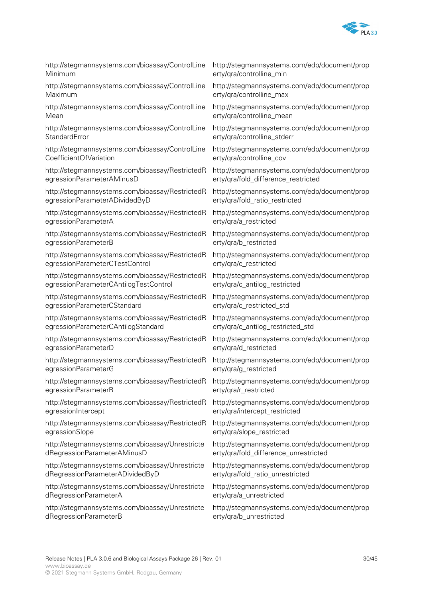

http://stegmannsystems.com/bioassay/ControlLine Minimum

http://stegmannsystems.com/bioassay/ControlLine Maximum

http://stegmannsystems.com/bioassay/ControlLine Mean

http://stegmannsystems.com/bioassay/ControlLine **StandardError** 

http://stegmannsystems.com/bioassay/ControlLine CoefficientOfVariation

http://stegmannsystems.com/bioassay/RestrictedR egressionParameterAMinusD

http://stegmannsystems.com/bioassay/RestrictedR egressionParameterADividedByD

http://stegmannsystems.com/bioassay/RestrictedR egressionParameterA

http://stegmannsystems.com/bioassay/RestrictedR egressionParameterB

http://stegmannsystems.com/bioassay/RestrictedR egressionParameterCTestControl

http://stegmannsystems.com/bioassay/RestrictedR egressionParameterCAntilogTestControl

http://stegmannsystems.com/bioassay/RestrictedR egressionParameterCStandard

http://stegmannsystems.com/bioassay/RestrictedR egressionParameterCAntilogStandard

http://stegmannsystems.com/bioassay/RestrictedR egressionParameterD

http://stegmannsystems.com/bioassay/RestrictedR egressionParameterG

http://stegmannsystems.com/bioassay/RestrictedR egressionParameterR

http://stegmannsystems.com/bioassay/RestrictedR egressionIntercept

http://stegmannsystems.com/bioassay/RestrictedR egressionSlope

http://stegmannsystems.com/bioassay/Unrestricte dRegressionParameterAMinusD

http://stegmannsystems.com/bioassay/Unrestricte dRegressionParameterADividedByD

http://stegmannsystems.com/bioassay/Unrestricte dRegressionParameterA

http://stegmannsystems.com/bioassay/Unrestricte dRegressionParameterB

http://stegmannsystems.com/edp/document/prop erty/qra/controlline\_min

http://stegmannsystems.com/edp/document/prop erty/qra/controlline\_max

http://stegmannsystems.com/edp/document/prop erty/qra/controlline\_mean

http://stegmannsystems.com/edp/document/prop erty/qra/controlline\_stderr

http://stegmannsystems.com/edp/document/prop erty/qra/controlline\_cov

http://stegmannsystems.com/edp/document/prop erty/qra/fold\_difference\_restricted

http://stegmannsystems.com/edp/document/prop erty/qra/fold\_ratio\_restricted

http://stegmannsystems.com/edp/document/prop erty/qra/a\_restricted

http://stegmannsystems.com/edp/document/prop erty/qra/b\_restricted

http://stegmannsystems.com/edp/document/prop erty/qra/c\_restricted

http://stegmannsystems.com/edp/document/prop erty/qra/c\_antilog\_restricted

http://stegmannsystems.com/edp/document/prop erty/qra/c\_restricted\_std

http://stegmannsystems.com/edp/document/prop erty/qra/c\_antilog\_restricted\_std

http://stegmannsystems.com/edp/document/prop erty/qra/d\_restricted

http://stegmannsystems.com/edp/document/prop erty/qra/g\_restricted

http://stegmannsystems.com/edp/document/prop erty/qra/r\_restricted

http://stegmannsystems.com/edp/document/prop erty/gra/intercept\_restricted

http://stegmannsystems.com/edp/document/prop erty/qra/slope\_restricted

http://stegmannsystems.com/edp/document/prop erty/qra/fold\_difference\_unrestricted

http://stegmannsystems.com/edp/document/prop erty/qra/fold\_ratio\_unrestricted

http://stegmannsystems.com/edp/document/prop erty/qra/a\_unrestricted

http://stegmannsystems.com/edp/document/prop erty/qra/b\_unrestricted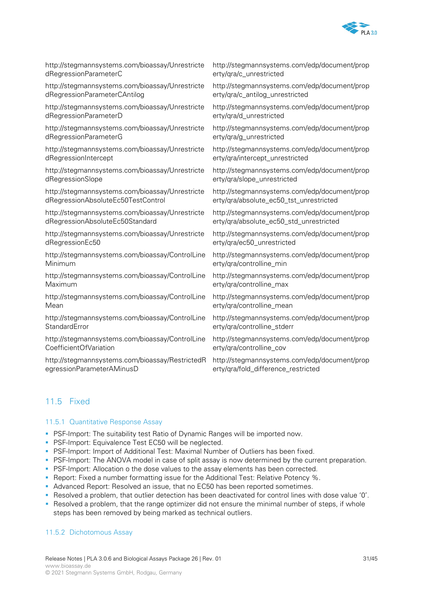

| http://stegmannsystems.com/bioassay/Unrestricte | http://stegmannsystems.com/edp/document/prop |
|-------------------------------------------------|----------------------------------------------|
| dRegressionParameterC                           | erty/gra/c_unrestricted                      |
| http://stegmannsystems.com/bioassay/Unrestricte | http://stegmannsystems.com/edp/document/prop |
| dRegressionParameterCAntilog                    | erty/qra/c_antilog_unrestricted              |
| http://stegmannsystems.com/bioassay/Unrestricte | http://stegmannsystems.com/edp/document/prop |
| dRegressionParameterD                           | erty/gra/d_unrestricted                      |
| http://stegmannsystems.com/bioassay/Unrestricte | http://stegmannsystems.com/edp/document/prop |
| dRegressionParameterG                           | erty/gra/g_unrestricted                      |
| http://stegmannsystems.com/bioassay/Unrestricte | http://stegmannsystems.com/edp/document/prop |
| dRegressionIntercept                            | erty/qra/intercept_unrestricted              |
| http://stegmannsystems.com/bioassay/Unrestricte | http://stegmannsystems.com/edp/document/prop |
| dRegressionSlope                                | erty/qra/slope_unrestricted                  |
| http://stegmannsystems.com/bioassay/Unrestricte | http://stegmannsystems.com/edp/document/prop |
| dRegressionAbsoluteEc50TestControl              | erty/qra/absolute_ec50_tst_unrestricted      |
| http://stegmannsystems.com/bioassay/Unrestricte | http://stegmannsystems.com/edp/document/prop |
| dRegressionAbsoluteEc50Standard                 | erty/qra/absolute_ec50_std_unrestricted      |
| http://stegmannsystems.com/bioassay/Unrestricte | http://stegmannsystems.com/edp/document/prop |
| dRegressionEc50                                 | erty/qra/ec50_unrestricted                   |
| http://stegmannsystems.com/bioassay/ControlLine | http://stegmannsystems.com/edp/document/prop |
| Minimum                                         | erty/gra/controlline_min                     |
| http://stegmannsystems.com/bioassay/ControlLine | http://stegmannsystems.com/edp/document/prop |
| Maximum                                         | erty/gra/controlline_max                     |
| http://stegmannsystems.com/bioassay/ControlLine | http://stegmannsystems.com/edp/document/prop |
| Mean                                            | erty/gra/controlline_mean                    |
| http://stegmannsystems.com/bioassay/ControlLine | http://stegmannsystems.com/edp/document/prop |
| StandardError                                   | erty/qra/controlline_stderr                  |
| http://stegmannsystems.com/bioassay/ControlLine | http://stegmannsystems.com/edp/document/prop |
| CoefficientOfVariation                          | erty/qra/controlline_cov                     |
|                                                 |                                              |

http://stegmannsystems.com/bioassay/RestrictedR http://stegmannsystems.com/edp/document/prop egressionParameterAMinusD

erty/gra/fold\_difference\_restricted

## 11.5 Fixed

#### 11.5.1 Quantitative Response Assay

- **PSF-Import: The suitability test Ratio of Dynamic Ranges will be imported now.**
- **PSF-Import: Equivalence Test EC50 will be neglected.**
- **PSF-Import: Import of Additional Test: Maximal Number of Outliers has been fixed.**
- **PSF-Import: The ANOVA model in case of split assay is now determined by the current preparation.**
- **PSF-Import: Allocation o the dose values to the assay elements has been corrected.**
- Report: Fixed a number formatting issue for the Additional Test: Relative Potency %.
- Advanced Report: Resolved an issue, that no EC50 has been reported sometimes.
- Resolved a problem, that outlier detection has been deactivated for control lines with dose value '0'.
- Resolved a problem, that the range optimizer did not ensure the minimal number of steps, if whole steps has been removed by being marked as technical outliers.

#### 11.5.2 Dichotomous Assay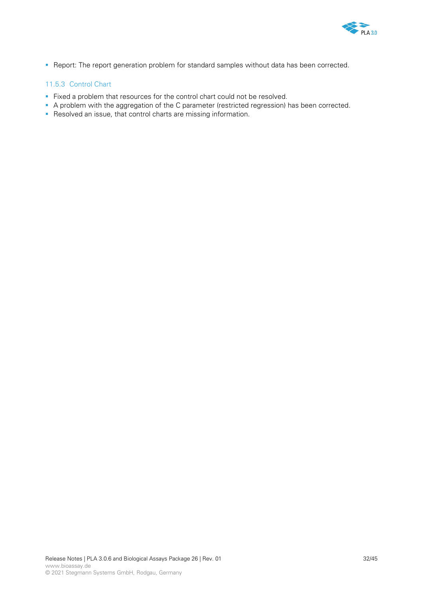

Report: The report generation problem for standard samples without data has been corrected.

## 11.5.3 Control Chart

- Fixed a problem that resources for the control chart could not be resolved.
- A problem with the aggregation of the C parameter (restricted regression) has been corrected.
- Resolved an issue, that control charts are missing information.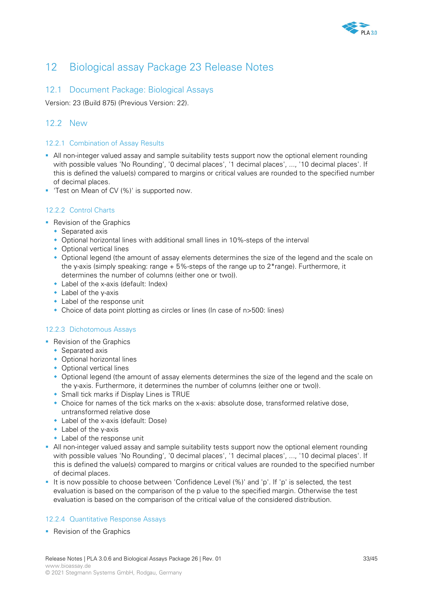

# 12 Biological assay Package 23 Release Notes

## 12.1 Document Package: Biological Assays

Version: 23 (Build 875) (Previous Version: 22).

## 12.2 New

### 12.2.1 Combination of Assay Results

- All non-integer valued assay and sample suitability tests support now the optional element rounding with possible values 'No Rounding', '0 decimal places', '1 decimal places', ..., '10 decimal places'. If this is defined the value(s) compared to margins or critical values are rounded to the specified number of decimal places.
- **Test on Mean of CV (%)' is supported now.**

## 12.2.2 Control Charts

- **Revision of the Graphics** 
	- Separated axis
	- Optional horizontal lines with additional small lines in 10%-steps of the interval
	- Optional vertical lines
	- Optional legend (the amount of assay elements determines the size of the legend and the scale on the y-axis (simply speaking: range +  $5\%$ -steps of the range up to  $2*$ range). Furthermore, it determines the number of columns (either one or two)).
	- Label of the x-axis (default: Index)
	- Label of the y-axis
	- Label of the response unit
	- Choice of data point plotting as circles or lines (In case of n>500: lines)

### 12.2.3 Dichotomous Assays

- **Revision of the Graphics** 
	- ◆ Separated axis
	- Optional horizontal lines
	- Optional vertical lines
	- Optional legend (the amount of assay elements determines the size of the legend and the scale on the y-axis. Furthermore, it determines the number of columns (either one or two)).
	- Small tick marks if Display Lines is TRUE
	- Choice for names of the tick marks on the x-axis: absolute dose, transformed relative dose, untransformed relative dose
	- Label of the x-axis (default: Dose)
	- Label of the y-axis
	- Label of the response unit
- All non-integer valued assay and sample suitability tests support now the optional element rounding with possible values 'No Rounding', '0 decimal places', '1 decimal places', ..., '10 decimal places'. If this is defined the value(s) compared to margins or critical values are rounded to the specified number of decimal places.
- It is now possible to choose between 'Confidence Level (%)' and 'p'. If 'p' is selected, the test evaluation is based on the comparison of the p value to the specified margin. Otherwise the test evaluation is based on the comparison of the critical value of the considered distribution.

### 12.2.4 Quantitative Response Assays

**Revision of the Graphics**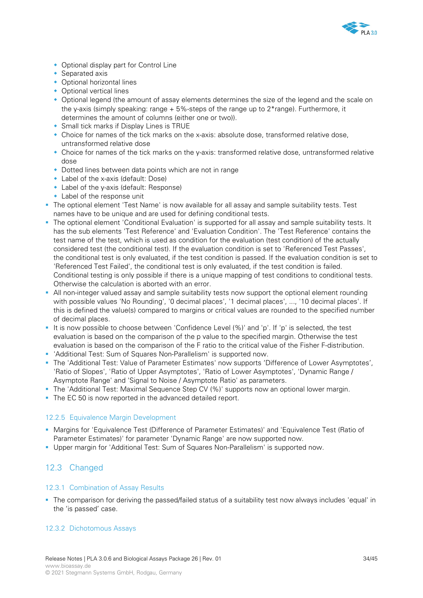

- Optional display part for Control Line
- Separated axis
- Optional horizontal lines
- Optional vertical lines
- Optional legend (the amount of assay elements determines the size of the legend and the scale on the y-axis (simply speaking: range  $+5\%$ -steps of the range up to  $2*$  range). Furthermore, it determines the amount of columns (either one or two)).
- Small tick marks if Display Lines is TRUE
- Choice for names of the tick marks on the x-axis: absolute dose, transformed relative dose, untransformed relative dose
- Choice for names of the tick marks on the y-axis: transformed relative dose, untransformed relative dose
- Dotted lines between data points which are not in range
- Label of the x-axis (default: Dose)
- Label of the y-axis (default: Response)
- Label of the response unit
- The optional element 'Test Name' is now available for all assay and sample suitability tests. Test names have to be unique and are used for defining conditional tests.
- The optional element 'Conditional Evaluation' is supported for all assay and sample suitability tests. It has the sub elements 'Test Reference' and 'Evaluation Condition'. The 'Test Reference' contains the test name of the test, which is used as condition for the evaluation (test condition) of the actually considered test (the conditional test). If the evaluation condition is set to 'Referenced Test Passes', the conditional test is only evaluated, if the test condition is passed. If the evaluation condition is set to 'Referenced Test Failed', the conditional test is only evaluated, if the test condition is failed. Conditional testing is only possible if there is a unique mapping of test conditions to conditional tests. Otherwise the calculation is aborted with an error.
- All non-integer valued assay and sample suitability tests now support the optional element rounding with possible values 'No Rounding', '0 decimal places', '1 decimal places', ..., '10 decimal places'. If this is defined the value(s) compared to margins or critical values are rounded to the specified number of decimal places.
- It is now possible to choose between 'Confidence Level (%)' and 'p'. If 'p' is selected, the test evaluation is based on the comparison of the p value to the specified margin. Otherwise the test evaluation is based on the comparison of the F ratio to the critical value of the Fisher F-distribution.
- 'Additional Test: Sum of Squares Non-Parallelism' is supported now.
- The 'Additional Test: Value of Parameter Estimates' now supports 'Difference of Lower Asymptotes', 'Ratio of Slopes', 'Ratio of Upper Asymptotes', 'Ratio of Lower Asymptotes', 'Dynamic Range / Asymptote Range' and 'Signal to Noise / Asymptote Ratio' as parameters.
- The 'Additional Test: Maximal Sequence Step CV (%)' supports now an optional lower margin.
- The EC 50 is now reported in the advanced detailed report.

### 12.2.5 Equivalence Margin Development

- Margins for 'Equivalence Test (Difference of Parameter Estimates)' and 'Equivalence Test (Ratio of Parameter Estimates)' for parameter 'Dynamic Range' are now supported now.
- Upper margin for 'Additional Test: Sum of Squares Non-Parallelism' is supported now.

## 12.3 Changed

### 12.3.1 Combination of Assay Results

The comparison for deriving the passed/failed status of a suitability test now always includes 'equal' in the 'is passed' case.

### 12.3.2 Dichotomous Assays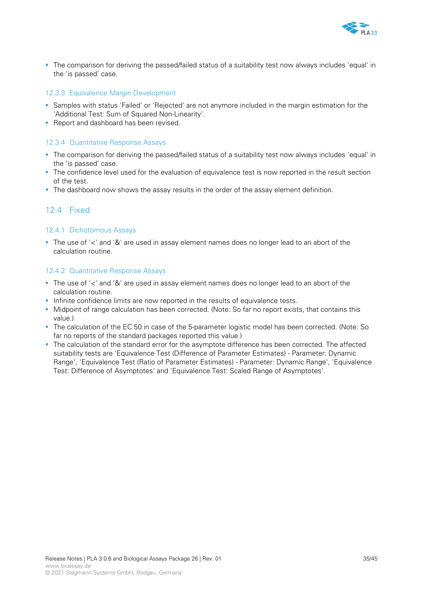

 The comparison for deriving the passed/failed status of a suitability test now always includes 'equal' in the 'is passed' case.

### 12.3.3 Equivalence Margin Development

- Samples with status 'Failed' or 'Rejected' are not anymore included in the margin estimation for the 'Additional Test: Sum of Squared Non-Linearity'.
- **Report and dashboard has been revised.**

#### 12.3.4 Quantitative Response Assays

- The comparison for deriving the passed/failed status of a suitability test now always includes 'equal' in the 'is passed' case.
- The confidence level used for the evaluation of equivalence test is now reported in the result section of the test.
- The dashboard now shows the assay results in the order of the assay element definition.

## 12.4 Fixed

#### 12.4.1 Dichotomous Assays

The use of '<' and '&' are used in assay element names does no longer lead to an abort of the calculation routine.

#### 12.4.2 Quantitative Response Assays

- The use of '<' and '&' are used in assay element names does no longer lead to an abort of the calculation routine.
- Infinite confidence limits are now reported in the results of equivalence tests.
- Midpoint of range calculation has been corrected. (Note: So far no report exists, that contains this value.)
- The calculation of the EC 50 in case of the 5-parameter logistic model has been corrected. (Note: So far no reports of the standard packages reported this value.)
- The calculation of the standard error for the asymptote difference has been corrected. The affected suitability tests are 'Equivalence Test (Difference of Parameter Estimates) - Parameter: Dynamic Range', 'Equivalence Test (Ratio of Parameter Estimates) - Parameter: Dynamic Range', 'Equivalence Test: Difference of Asymptotes' and 'Equivalence Test: Scaled Range of Asymptotes'.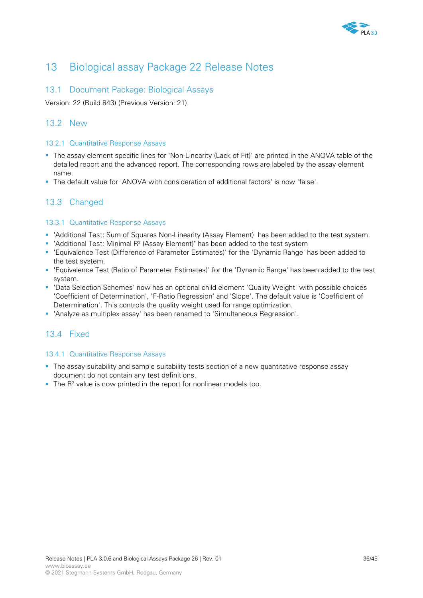

# 13 Biological assay Package 22 Release Notes

## 13.1 Document Package: Biological Assays

Version: 22 (Build 843) (Previous Version: 21).

## 13.2 New

### 13.2.1 Quantitative Response Assays

- The assay element specific lines for 'Non-Linearity (Lack of Fit)' are printed in the ANOVA table of the detailed report and the advanced report. The corresponding rows are labeled by the assay element name.
- The default value for 'ANOVA with consideration of additional factors' is now 'false'.

## 13.3 Changed

### 13.3.1 Quantitative Response Assays

- 'Additional Test: Sum of Squares Non-Linearity (Assay Element)' has been added to the test system.
- 'Additional Test: Minimal R² (Assay Element)" has been added to the test system
- 'Equivalence Test (Difference of Parameter Estimates)' for the 'Dynamic Range' has been added to the test system,
- 'Equivalence Test (Ratio of Parameter Estimates)' for the 'Dynamic Range' has been added to the test system.
- 'Data Selection Schemes' now has an optional child element 'Quality Weight' with possible choices 'Coefficient of Determination', 'F-Ratio Regression' and 'Slope'. The default value is 'Coefficient of Determination'. This controls the quality weight used for range optimization.
- 'Analyze as multiplex assay' has been renamed to 'Simultaneous Regression'.

## 13.4 Fixed

### 13.4.1 Quantitative Response Assays

- The assay suitability and sample suitability tests section of a new quantitative response assay document do not contain any test definitions.
- The R<sup>2</sup> value is now printed in the report for nonlinear models too.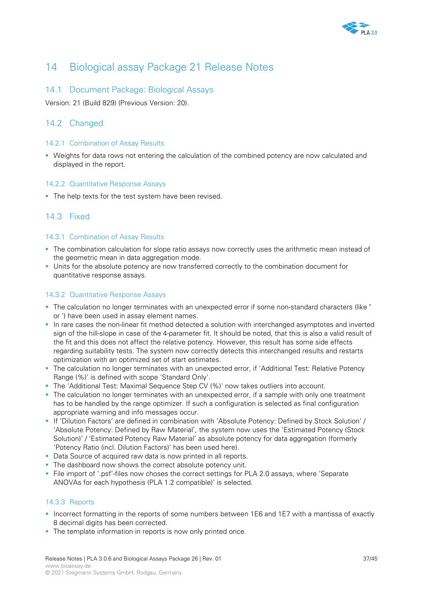

# 14 Biological assay Package 21 Release Notes

## 14.1 Document Package: Biological Assays

Version: 21 (Build 829) (Previous Version: 20).

## 14.2 Changed

### 14.2.1 Combination of Assay Results

 Weights for data rows not entering the calculation of the combined potency are now calculated and displayed in the report.

## 14.2.2 Quantitative Response Assays

The help texts for the test system have been revised.

## 14.3 Fixed

### 14.3.1 Combination of Assay Results

- The combination calculation for slope ratio assays now correctly uses the arithmetic mean instead of the geometric mean in data aggregation mode.
- Units for the absolute potency are now transferred correctly to the combination document for quantitative response assays.

### 14.3.2 Quantitative Response Assays

- The calculation no longer terminates with an unexpected error if some non-standard characters (like " or ') have been used in assay element names.
- In rare cases the non-linear fit method detected a solution with interchanged asymptotes and inverted sign of the hill-slope in case of the 4-parameter fit. It should be noted, that this is also a valid result of the fit and this does not affect the relative potency. However, this result has some side effects regarding suitability tests. The system now correctly detects this interchanged results and restarts optimization with an optimized set of start estimates.
- The calculation no longer terminates with an unexpected error, if 'Additional Test: Relative Potency Range (%)' is defined with scope 'Standard Only'.
- The 'Additional Test: Maximal Sequence Step CV (%)' now takes outliers into account.
- The calculation no longer terminates with an unexpected error, if a sample with only one treatment has to be handled by the range optimizer. If such a configuration is selected as final configuration appropriate warning and info messages occur.
- If 'Dilution Factors' are defined in combination with 'Absolute Potency: Defined by Stock Solution' / 'Absolute Potency: Defined by Raw Material', the system now uses the 'Estimated Potency (Stock Solution)' / 'Estimated Potency Raw Material' as absolute potency for data aggregation (formerly 'Potency Ratio (incl. Dilution Factors)' has been used here).
- Data Source of acquired raw data is now printed in all reports.
- The dashboard now shows the correct absolute potency unit.
- File import of '.psf'-files now choses the correct settings for PLA 2.0 assays, where 'Separate ANOVAs for each hypothesis (PLA 1.2 compatible)' is selected.

### 14.3.3 Reports

- Incorrect formatting in the reports of some numbers between 1E6 and 1E7 with a mantissa of exactly 8 decimal digits has been corrected.
- The template information in reports is now only printed once.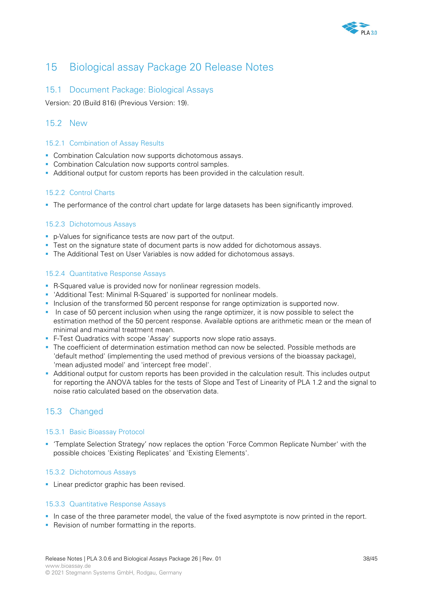

# 15 Biological assay Package 20 Release Notes

## 15.1 Document Package: Biological Assays

Version: 20 (Build 816) (Previous Version: 19).

## 15.2 New

### 15.2.1 Combination of Assay Results

- **Combination Calculation now supports dichotomous assays.**
- **Combination Calculation now supports control samples.**
- Additional output for custom reports has been provided in the calculation result.

### 15.2.2 Control Charts

The performance of the control chart update for large datasets has been significantly improved.

### 15.2.3 Dichotomous Assays

- p-Values for significance tests are now part of the output.
- Test on the signature state of document parts is now added for dichotomous assays.
- The Additional Test on User Variables is now added for dichotomous assays.

### 15.2.4 Quantitative Response Assays

- R-Squared value is provided now for nonlinear regression models.
- 'Additional Test: Minimal R-Squared' is supported for nonlinear models.
- Inclusion of the transformed 50 percent response for range optimization is supported now.
- In case of 50 percent inclusion when using the range optimizer, it is now possible to select the estimation method of the 50 percent response. Available options are arithmetic mean or the mean of minimal and maximal treatment mean.
- F-Test Quadratics with scope 'Assay' supports now slope ratio assays.
- **The coefficient of determination estimation method can now be selected. Possible methods are** 'default method' (implementing the used method of previous versions of the bioassay package), 'mean adjusted model' and 'intercept free model'.
- Additional output for custom reports has been provided in the calculation result. This includes output for reporting the ANOVA tables for the tests of Slope and Test of Linearity of PLA 1.2 and the signal to noise ratio calculated based on the observation data.

## 15.3 Changed

### 15.3.1 Basic Bioassay Protocol

 'Template Selection Strategy' now replaces the option 'Force Common Replicate Number' with the possible choices 'Existing Replicates' and 'Existing Elements'.

#### 15.3.2 Dichotomous Assays

**Linear predictor graphic has been revised.** 

### 15.3.3 Quantitative Response Assays

- In case of the three parameter model, the value of the fixed asymptote is now printed in the report.
- Revision of number formatting in the reports.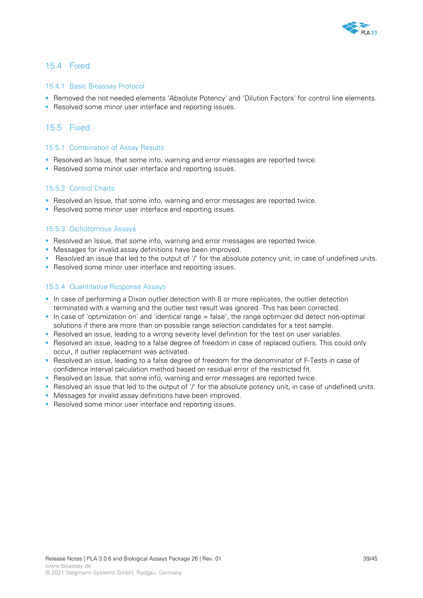

### 15.4 Fixed

#### 15.4.1 Basic Bioassay Protocol

- Removed the not needed elements 'Absolute Potency' and 'Dilution Factors' for control line elements.
- Resolved some minor user interface and reporting issues.

### 15.5 Fixed

#### 15.5.1 Combination of Assay Results

- Resolved an Issue, that some info, warning and error messages are reported twice.
- **Resolved some minor user interface and reporting issues.**

#### 15.5.2 Control Charts

- Resolved an Issue, that some info, warning and error messages are reported twice.
- Resolved some minor user interface and reporting issues.

#### 15.5.3 Dichotomous Assays

- Resolved an Issue, that some info, warning and error messages are reported twice.
- **Messages for invalid assay definitions have been improved.**
- Resolved an issue that led to the output of '/' for the absolute potency unit, in case of undefined units.
- Resolved some minor user interface and reporting issues.

#### 15.5.4 Quantitative Response Assays

- In case of performing a Dixon outlier detection with 8 or more replicates, the outlier detection terminated with a warning and the outlier test result was ignored. This has been corrected.
- In case of 'optimization on' and 'identical range  $=$  false', the range optimizer did detect non-optimal solutions if there are more than on possible range selection candidates for a test sample.
- Resolved an issue, leading to a wrong severity level definition for the test on user variables.
- Resolved an issue, leading to a false degree of freedom in case of replaced outliers. This could only occur, if outlier replacement was activated.
- **B** Resolved an issue, leading to a false degree of freedom for the denominator of F-Tests in case of confidence interval calculation method based on residual error of the restricted fit.
- Resolved an Issue, that some info, warning and error messages are reported twice.
- Resolved an issue that led to the output of '/' for the absolute potency unit, in case of undefined units.
- **Messages for invalid assay definitions have been improved.**
- **Resolved some minor user interface and reporting issues.**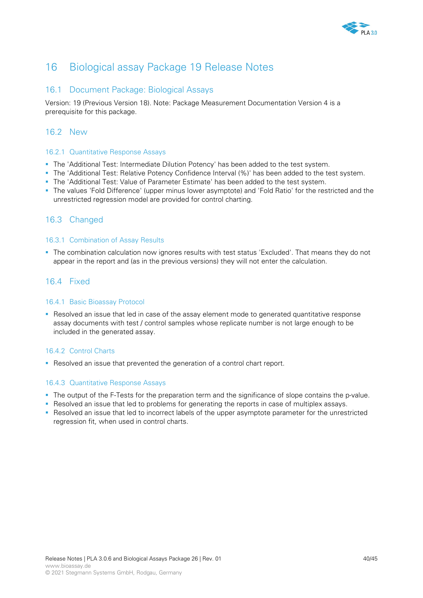

# 16 Biological assay Package 19 Release Notes

## 16.1 Document Package: Biological Assays

Version: 19 (Previous Version 18). Note: Package Measurement Documentation Version 4 is a prerequisite for this package.

## 16.2 New

### 16.2.1 Quantitative Response Assays

- The 'Additional Test: Intermediate Dilution Potency' has been added to the test system.
- The 'Additional Test: Relative Potency Confidence Interval (%)' has been added to the test system.
- The 'Additional Test: Value of Parameter Estimate' has been added to the test system.
- The values 'Fold Difference' (upper minus lower asymptote) and 'Fold Ratio' for the restricted and the unrestricted regression model are provided for control charting.

## 16.3 Changed

### 16.3.1 Combination of Assay Results

 The combination calculation now ignores results with test status 'Excluded'. That means they do not appear in the report and (as in the previous versions) they will not enter the calculation.

## 16.4 Fixed

### 16.4.1 Basic Bioassay Protocol

**Resolved an issue that led in case of the assay element mode to generated quantitative response** assay documents with test / control samples whose replicate number is not large enough to be included in the generated assay.

### 16.4.2 Control Charts

Resolved an issue that prevented the generation of a control chart report.

### 16.4.3 Quantitative Response Assays

- The output of the F-Tests for the preparation term and the significance of slope contains the p-value.
- **Resolved an issue that led to problems for generating the reports in case of multiplex assays.**
- **-** Resolved an issue that led to incorrect labels of the upper asymptote parameter for the unrestricted regression fit, when used in control charts.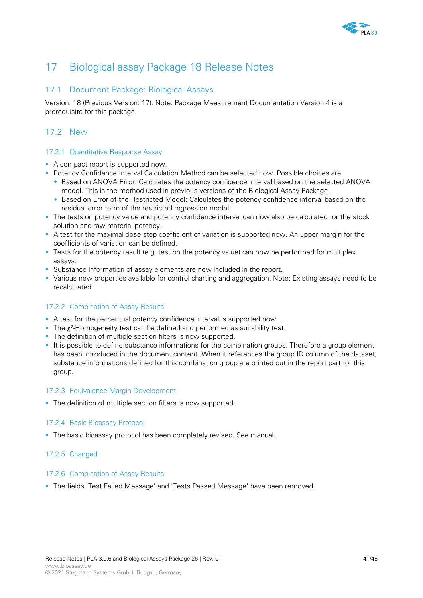

# 17 Biological assay Package 18 Release Notes

## 17.1 Document Package: Biological Assays

Version: 18 (Previous Version: 17). Note: Package Measurement Documentation Version 4 is a prerequisite for this package.

# 17.2 New

### 17.2.1 Quantitative Response Assay

- A compact report is supported now.
- **Potency Confidence Interval Calculation Method can be selected now. Possible choices are** 
	- Based on ANOVA Error: Calculates the potency confidence interval based on the selected ANOVA model. This is the method used in previous versions of the Biological Assay Package.
	- Based on Error of the Restricted Model: Calculates the potency confidence interval based on the residual error term of the restricted regression model.
- The tests on potency value and potency confidence interval can now also be calculated for the stock solution and raw material potency.
- A test for the maximal dose step coefficient of variation is supported now. An upper margin for the coefficients of variation can be defined.
- **Tests for the potency result (e.g. test on the potency value) can now be performed for multiplex** assays.
- Substance information of assay elements are now included in the report.
- Various new properties available for control charting and aggregation. Note: Existing assays need to be recalculated.

## 17.2.2 Combination of Assay Results

- A test for the percentual potency confidence interval is supported now.
- The  $x^2$ -Homogeneity test can be defined and performed as suitability test.
- The definition of multiple section filters is now supported.
- It is possible to define substance informations for the combination groups. Therefore a group element has been introduced in the document content. When it references the group ID column of the dataset, substance informations defined for this combination group are printed out in the report part for this group.

### 17.2.3 Equivalence Margin Development

The definition of multiple section filters is now supported.

#### 17.2.4 Basic Bioassay Protocol

The basic bioassay protocol has been completely revised. See manual.

### 17.2.5 Changed

#### 17.2.6 Combination of Assay Results

The fields 'Test Failed Message' and 'Tests Passed Message' have been removed.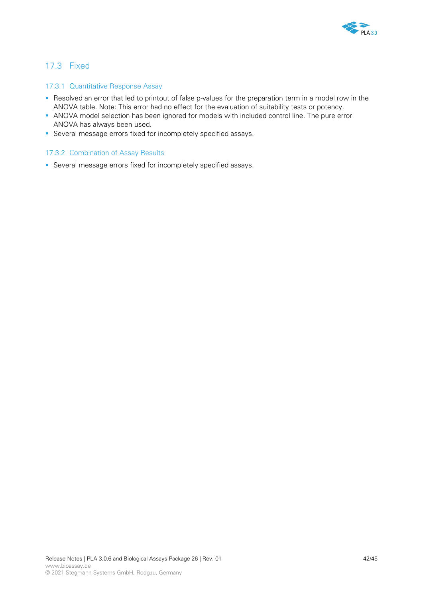

## 17.3 Fixed

### 17.3.1 Quantitative Response Assay

- Resolved an error that led to printout of false p-values for the preparation term in a model row in the ANOVA table. Note: This error had no effect for the evaluation of suitability tests or potency.
- ANOVA model selection has been ignored for models with included control line. The pure error ANOVA has always been used.
- Several message errors fixed for incompletely specified assays.

#### 17.3.2 Combination of Assay Results

Several message errors fixed for incompletely specified assays.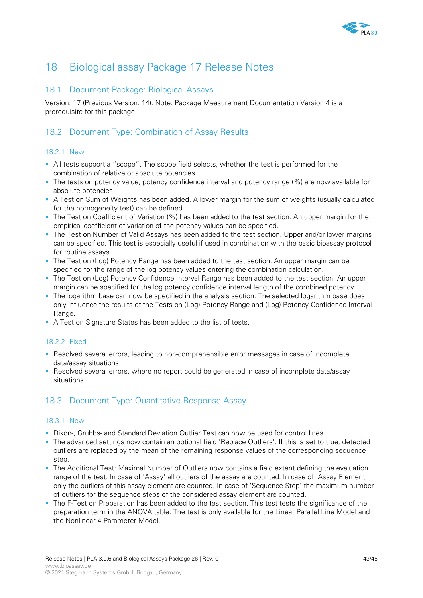

# 18 Biological assay Package 17 Release Notes

## 18.1 Document Package: Biological Assays

Version: 17 (Previous Version: 14). Note: Package Measurement Documentation Version 4 is a prerequisite for this package.

# 18.2 Document Type: Combination of Assay Results

### 18.2.1 New

- All tests support a "scope". The scope field selects, whether the test is performed for the combination of relative or absolute potencies.
- The tests on potency value, potency confidence interval and potency range (%) are now available for absolute potencies.
- A Test on Sum of Weights has been added. A lower margin for the sum of weights (usually calculated for the homogeneity test) can be defined.
- The Test on Coefficient of Variation (%) has been added to the test section. An upper margin for the empirical coefficient of variation of the potency values can be specified.
- The Test on Number of Valid Assays has been added to the test section. Upper and/or lower margins can be specified. This test is especially useful if used in combination with the basic bioassay protocol for routine assays.
- The Test on (Log) Potency Range has been added to the test section. An upper margin can be specified for the range of the log potency values entering the combination calculation.
- The Test on (Log) Potency Confidence Interval Range has been added to the test section. An upper margin can be specified for the log potency confidence interval length of the combined potency.
- The logarithm base can now be specified in the analysis section. The selected logarithm base does only influence the results of the Tests on (Log) Potency Range and (Log) Potency Confidence Interval Range.
- A Test on Signature States has been added to the list of tests.

## 18.2.2 Fixed

- Resolved several errors, leading to non-comprehensible error messages in case of incomplete data/assay situations.
- Resolved several errors, where no report could be generated in case of incomplete data/assay situations.

## 18.3 Document Type: Quantitative Response Assay

### 18.3.1 New

- Dixon-, Grubbs- and Standard Deviation Outlier Test can now be used for control lines.
- The advanced settings now contain an optional field 'Replace Outliers'. If this is set to true, detected outliers are replaced by the mean of the remaining response values of the corresponding sequence step.
- The Additional Test: Maximal Number of Outliers now contains a field extent defining the evaluation range of the test. In case of 'Assay' all outliers of the assay are counted. In case of 'Assay Element' only the outliers of this assay element are counted. In case of 'Sequence Step' the maximum number of outliers for the sequence steps of the considered assay element are counted.
- The F-Test on Preparation has been added to the test section. This test tests the significance of the preparation term in the ANOVA table. The test is only available for the Linear Parallel Line Model and the Nonlinear 4-Parameter Model.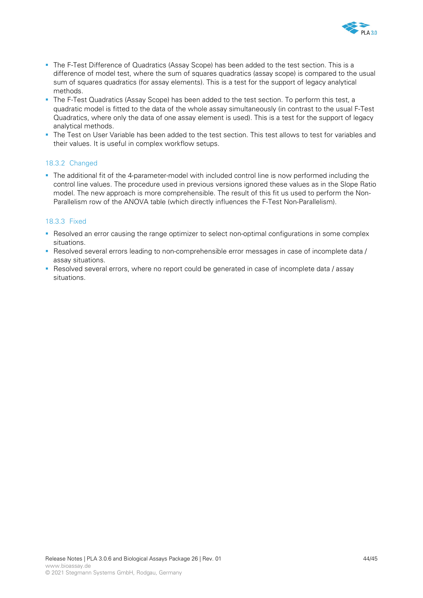

- The F-Test Difference of Quadratics (Assay Scope) has been added to the test section. This is a difference of model test, where the sum of squares quadratics (assay scope) is compared to the usual sum of squares quadratics (for assay elements). This is a test for the support of legacy analytical methods.
- The F-Test Quadratics (Assay Scope) has been added to the test section. To perform this test, a quadratic model is fitted to the data of the whole assay simultaneously (in contrast to the usual F-Test Quadratics, where only the data of one assay element is used). This is a test for the support of legacy analytical methods.
- The Test on User Variable has been added to the test section. This test allows to test for variables and their values. It is useful in complex workflow setups.

### 18.3.2 Changed

The additional fit of the 4-parameter-model with included control line is now performed including the control line values. The procedure used in previous versions ignored these values as in the Slope Ratio model. The new approach is more comprehensible. The result of this fit us used to perform the Non-Parallelism row of the ANOVA table (which directly influences the F-Test Non-Parallelism).

### 18.3.3 Fixed

- Resolved an error causing the range optimizer to select non-optimal configurations in some complex situations.
- Resolved several errors leading to non-comprehensible error messages in case of incomplete data / assay situations.
- Resolved several errors, where no report could be generated in case of incomplete data / assay situations.